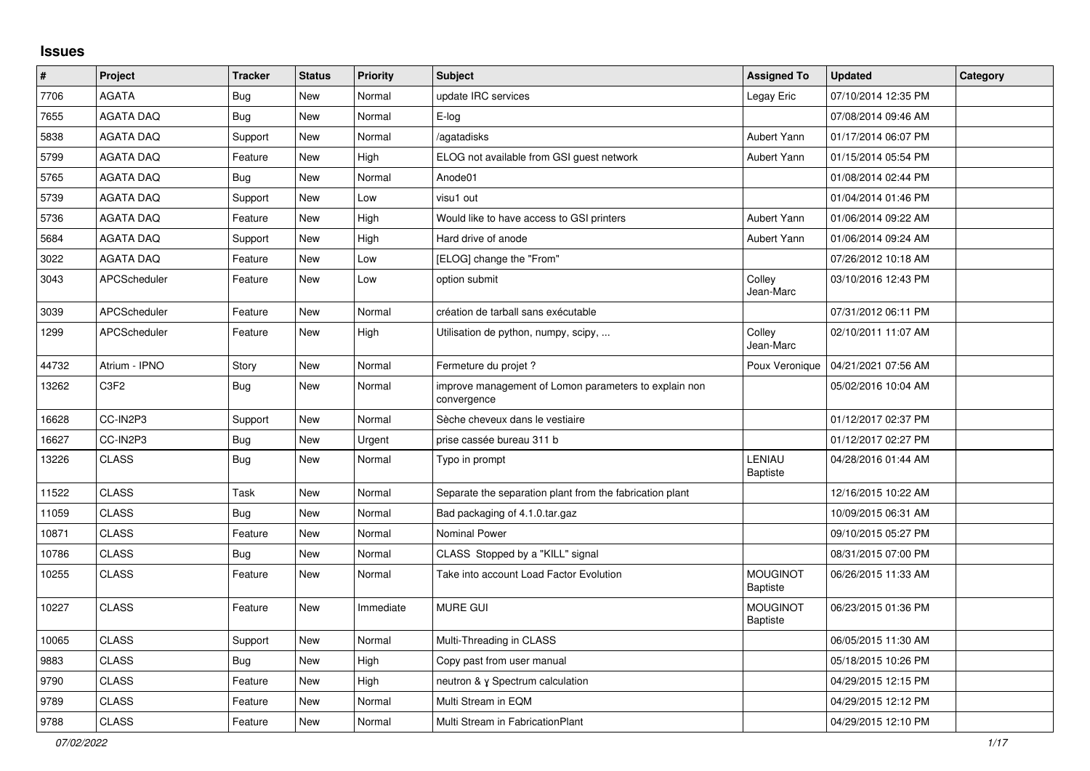## **Issues**

| $\vert$ # | Project                       | <b>Tracker</b> | <b>Status</b> | <b>Priority</b> | <b>Subject</b>                                                       | <b>Assigned To</b>                 | <b>Updated</b>      | Category |
|-----------|-------------------------------|----------------|---------------|-----------------|----------------------------------------------------------------------|------------------------------------|---------------------|----------|
| 7706      | <b>AGATA</b>                  | Bug            | New           | Normal          | update IRC services                                                  | Legay Eric                         | 07/10/2014 12:35 PM |          |
| 7655      | <b>AGATA DAQ</b>              | <b>Bug</b>     | <b>New</b>    | Normal          | E-log                                                                |                                    | 07/08/2014 09:46 AM |          |
| 5838      | <b>AGATA DAQ</b>              | Support        | <b>New</b>    | Normal          | agatadisks                                                           | Aubert Yann                        | 01/17/2014 06:07 PM |          |
| 5799      | <b>AGATA DAQ</b>              | Feature        | New           | High            | ELOG not available from GSI guest network                            | Aubert Yann                        | 01/15/2014 05:54 PM |          |
| 5765      | <b>AGATA DAQ</b>              | <b>Bug</b>     | New           | Normal          | Anode01                                                              |                                    | 01/08/2014 02:44 PM |          |
| 5739      | <b>AGATA DAQ</b>              | Support        | New           | Low             | visu1 out                                                            |                                    | 01/04/2014 01:46 PM |          |
| 5736      | <b>AGATA DAQ</b>              | Feature        | <b>New</b>    | High            | Would like to have access to GSI printers                            | Aubert Yann                        | 01/06/2014 09:22 AM |          |
| 5684      | <b>AGATA DAQ</b>              | Support        | New           | High            | Hard drive of anode                                                  | Aubert Yann                        | 01/06/2014 09:24 AM |          |
| 3022      | <b>AGATA DAQ</b>              | Feature        | New           | Low             | [ELOG] change the "From"                                             |                                    | 07/26/2012 10:18 AM |          |
| 3043      | APCScheduler                  | Feature        | New           | Low             | option submit                                                        | Colley<br>Jean-Marc                | 03/10/2016 12:43 PM |          |
| 3039      | APCScheduler                  | Feature        | New           | Normal          | création de tarball sans exécutable                                  |                                    | 07/31/2012 06:11 PM |          |
| 1299      | APCScheduler                  | Feature        | New           | High            | Utilisation de python, numpy, scipy,                                 | Colley<br>Jean-Marc                | 02/10/2011 11:07 AM |          |
| 44732     | Atrium - IPNO                 | Story          | New           | Normal          | Fermeture du projet ?                                                | Poux Veronique                     | 04/21/2021 07:56 AM |          |
| 13262     | C <sub>3</sub> F <sub>2</sub> | <b>Bug</b>     | New           | Normal          | improve management of Lomon parameters to explain non<br>convergence |                                    | 05/02/2016 10:04 AM |          |
| 16628     | CC-IN2P3                      | Support        | New           | Normal          | Sèche cheveux dans le vestiaire                                      |                                    | 01/12/2017 02:37 PM |          |
| 16627     | CC-IN2P3                      | Bug            | New           | Urgent          | prise cassée bureau 311 b                                            |                                    | 01/12/2017 02:27 PM |          |
| 13226     | <b>CLASS</b>                  | Bug            | <b>New</b>    | Normal          | Typo in prompt                                                       | LENIAU<br>Baptiste                 | 04/28/2016 01:44 AM |          |
| 11522     | <b>CLASS</b>                  | Task           | <b>New</b>    | Normal          | Separate the separation plant from the fabrication plant             |                                    | 12/16/2015 10:22 AM |          |
| 11059     | <b>CLASS</b>                  | Bug            | New           | Normal          | Bad packaging of 4.1.0.tar.gaz                                       |                                    | 10/09/2015 06:31 AM |          |
| 10871     | <b>CLASS</b>                  | Feature        | New           | Normal          | <b>Nominal Power</b>                                                 |                                    | 09/10/2015 05:27 PM |          |
| 10786     | <b>CLASS</b>                  | <b>Bug</b>     | New           | Normal          | CLASS Stopped by a "KILL" signal                                     |                                    | 08/31/2015 07:00 PM |          |
| 10255     | <b>CLASS</b>                  | Feature        | New           | Normal          | Take into account Load Factor Evolution                              | <b>MOUGINOT</b><br><b>Baptiste</b> | 06/26/2015 11:33 AM |          |
| 10227     | <b>CLASS</b>                  | Feature        | New           | Immediate       | <b>MURE GUI</b>                                                      | <b>MOUGINOT</b><br>Baptiste        | 06/23/2015 01:36 PM |          |
| 10065     | <b>CLASS</b>                  | Support        | New           | Normal          | Multi-Threading in CLASS                                             |                                    | 06/05/2015 11:30 AM |          |
| 9883      | <b>CLASS</b>                  | Bug            | New           | High            | Copy past from user manual                                           |                                    | 05/18/2015 10:26 PM |          |
| 9790      | <b>CLASS</b>                  | Feature        | New           | High            | neutron & y Spectrum calculation                                     |                                    | 04/29/2015 12:15 PM |          |
| 9789      | <b>CLASS</b>                  | Feature        | New           | Normal          | Multi Stream in EQM                                                  |                                    | 04/29/2015 12:12 PM |          |
| 9788      | <b>CLASS</b>                  | Feature        | <b>New</b>    | Normal          | Multi Stream in FabricationPlant                                     |                                    | 04/29/2015 12:10 PM |          |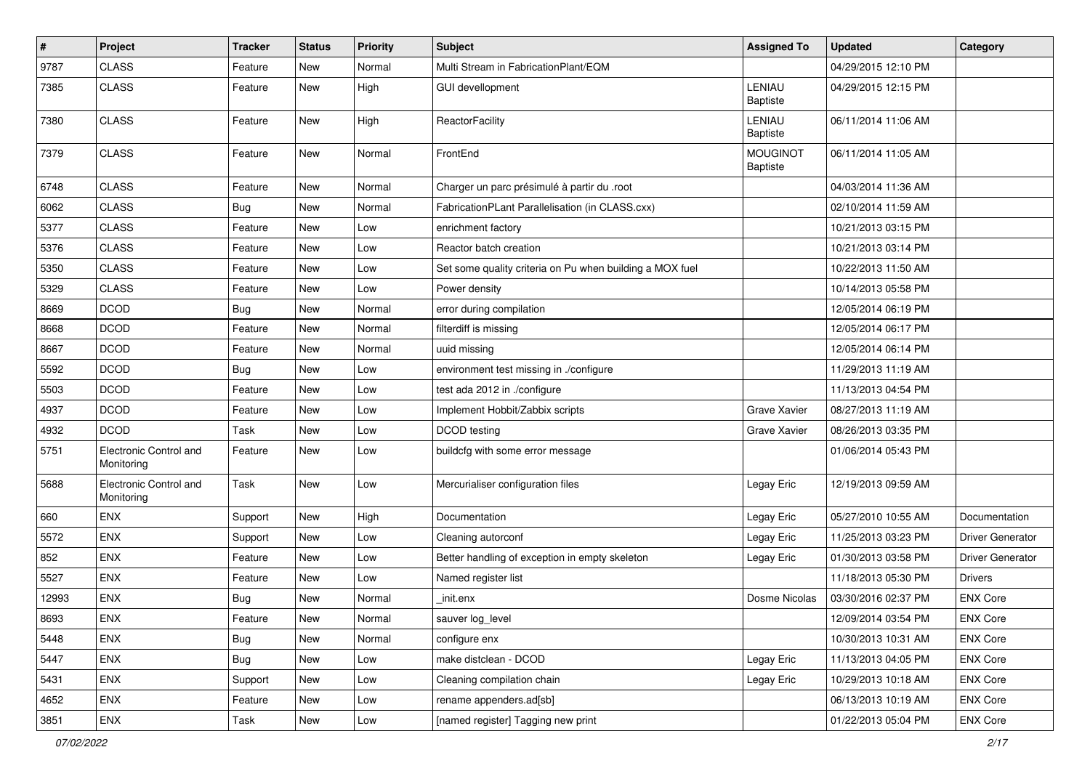| #     | Project                              | <b>Tracker</b> | <b>Status</b> | <b>Priority</b> | Subject                                                  | <b>Assigned To</b>          | <b>Updated</b>      | Category                |
|-------|--------------------------------------|----------------|---------------|-----------------|----------------------------------------------------------|-----------------------------|---------------------|-------------------------|
| 9787  | <b>CLASS</b>                         | Feature        | New           | Normal          | Multi Stream in FabricationPlant/EQM                     |                             | 04/29/2015 12:10 PM |                         |
| 7385  | <b>CLASS</b>                         | Feature        | New           | High            | <b>GUI devellopment</b>                                  | LENIAU<br><b>Baptiste</b>   | 04/29/2015 12:15 PM |                         |
| 7380  | <b>CLASS</b>                         | Feature        | <b>New</b>    | High            | ReactorFacility                                          | LENIAU<br><b>Baptiste</b>   | 06/11/2014 11:06 AM |                         |
| 7379  | <b>CLASS</b>                         | Feature        | <b>New</b>    | Normal          | FrontEnd                                                 | <b>MOUGINOT</b><br>Baptiste | 06/11/2014 11:05 AM |                         |
| 6748  | <b>CLASS</b>                         | Feature        | New           | Normal          | Charger un parc présimulé à partir du .root              |                             | 04/03/2014 11:36 AM |                         |
| 6062  | <b>CLASS</b>                         | <b>Bug</b>     | <b>New</b>    | Normal          | FabricationPLant Parallelisation (in CLASS.cxx)          |                             | 02/10/2014 11:59 AM |                         |
| 5377  | <b>CLASS</b>                         | Feature        | <b>New</b>    | Low             | enrichment factory                                       |                             | 10/21/2013 03:15 PM |                         |
| 5376  | <b>CLASS</b>                         | Feature        | New           | Low             | Reactor batch creation                                   |                             | 10/21/2013 03:14 PM |                         |
| 5350  | <b>CLASS</b>                         | Feature        | New           | Low             | Set some quality criteria on Pu when building a MOX fuel |                             | 10/22/2013 11:50 AM |                         |
| 5329  | <b>CLASS</b>                         | Feature        | New           | Low             | Power density                                            |                             | 10/14/2013 05:58 PM |                         |
| 8669  | <b>DCOD</b>                          | Bug            | <b>New</b>    | Normal          | error during compilation                                 |                             | 12/05/2014 06:19 PM |                         |
| 8668  | <b>DCOD</b>                          | Feature        | <b>New</b>    | Normal          | filterdiff is missing                                    |                             | 12/05/2014 06:17 PM |                         |
| 8667  | <b>DCOD</b>                          | Feature        | New           | Normal          | uuid missing                                             |                             | 12/05/2014 06:14 PM |                         |
| 5592  | <b>DCOD</b>                          | Bug            | New           | Low             | environment test missing in ./configure                  |                             | 11/29/2013 11:19 AM |                         |
| 5503  | <b>DCOD</b>                          | Feature        | <b>New</b>    | Low             | test ada 2012 in ./configure                             |                             | 11/13/2013 04:54 PM |                         |
| 4937  | <b>DCOD</b>                          | Feature        | New           | Low             | Implement Hobbit/Zabbix scripts                          | Grave Xavier                | 08/27/2013 11:19 AM |                         |
| 4932  | <b>DCOD</b>                          | Task           | <b>New</b>    | Low             | <b>DCOD</b> testing                                      | <b>Grave Xavier</b>         | 08/26/2013 03:35 PM |                         |
| 5751  | Electronic Control and<br>Monitoring | Feature        | <b>New</b>    | Low             | buildcfg with some error message                         |                             | 01/06/2014 05:43 PM |                         |
| 5688  | Electronic Control and<br>Monitoring | Task           | <b>New</b>    | Low             | Mercurialiser configuration files                        | Legay Eric                  | 12/19/2013 09:59 AM |                         |
| 660   | ENX                                  | Support        | <b>New</b>    | High            | Documentation                                            | Legay Eric                  | 05/27/2010 10:55 AM | Documentation           |
| 5572  | <b>ENX</b>                           | Support        | New           | Low             | Cleaning autorconf                                       | Legay Eric                  | 11/25/2013 03:23 PM | <b>Driver Generator</b> |
| 852   | <b>ENX</b>                           | Feature        | New           | Low             | Better handling of exception in empty skeleton           | Legay Eric                  | 01/30/2013 03:58 PM | Driver Generator        |
| 5527  | ENX                                  | Feature        | New           | Low             | Named register list                                      |                             | 11/18/2013 05:30 PM | <b>Drivers</b>          |
| 12993 | <b>ENX</b>                           | <b>Bug</b>     | New           | Normal          | init.enx                                                 | Dosme Nicolas               | 03/30/2016 02:37 PM | <b>ENX Core</b>         |
| 8693  | ENX                                  | Feature        | New           | Normal          | sauver log_level                                         |                             | 12/09/2014 03:54 PM | <b>ENX Core</b>         |
| 5448  | <b>ENX</b>                           | Bug            | New           | Normal          | configure enx                                            |                             | 10/30/2013 10:31 AM | <b>ENX Core</b>         |
| 5447  | ENX                                  | Bug            | New           | Low             | make distclean - DCOD                                    | Legay Eric                  | 11/13/2013 04:05 PM | <b>ENX Core</b>         |
| 5431  | ENX                                  | Support        | New           | Low             | Cleaning compilation chain                               | Legay Eric                  | 10/29/2013 10:18 AM | ENX Core                |
| 4652  | ENX                                  | Feature        | New           | Low             | rename appenders.ad[sb]                                  |                             | 06/13/2013 10:19 AM | ENX Core                |
| 3851  | ENX                                  | Task           | New           | Low             | [named register] Tagging new print                       |                             | 01/22/2013 05:04 PM | ENX Core                |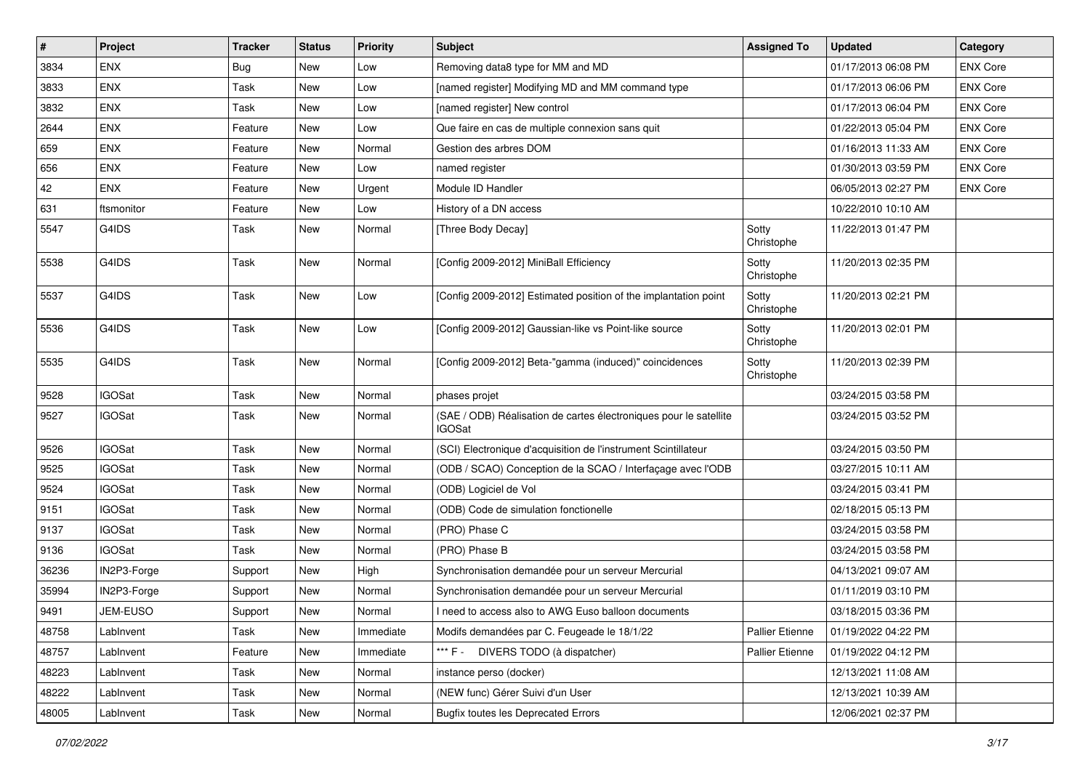| $\#$  | Project       | <b>Tracker</b> | <b>Status</b> | <b>Priority</b> | <b>Subject</b>                                                                     | <b>Assigned To</b>     | <b>Updated</b>      | Category        |
|-------|---------------|----------------|---------------|-----------------|------------------------------------------------------------------------------------|------------------------|---------------------|-----------------|
| 3834  | <b>ENX</b>    | Bug            | New           | Low             | Removing data8 type for MM and MD                                                  |                        | 01/17/2013 06:08 PM | <b>ENX Core</b> |
| 3833  | <b>ENX</b>    | Task           | New           | Low             | [named register] Modifying MD and MM command type                                  |                        | 01/17/2013 06:06 PM | <b>ENX Core</b> |
| 3832  | <b>ENX</b>    | Task           | New           | Low             | [named register] New control                                                       |                        | 01/17/2013 06:04 PM | <b>ENX Core</b> |
| 2644  | <b>ENX</b>    | Feature        | New           | Low             | Que faire en cas de multiple connexion sans quit                                   |                        | 01/22/2013 05:04 PM | <b>ENX Core</b> |
| 659   | <b>ENX</b>    | Feature        | New           | Normal          | Gestion des arbres DOM                                                             |                        | 01/16/2013 11:33 AM | <b>ENX Core</b> |
| 656   | <b>ENX</b>    | Feature        | New           | Low             | named register                                                                     |                        | 01/30/2013 03:59 PM | <b>ENX Core</b> |
| 42    | <b>ENX</b>    | Feature        | New           | Urgent          | Module ID Handler                                                                  |                        | 06/05/2013 02:27 PM | <b>ENX Core</b> |
| 631   | ftsmonitor    | Feature        | New           | Low             | History of a DN access                                                             |                        | 10/22/2010 10:10 AM |                 |
| 5547  | G4IDS         | Task           | New           | Normal          | [Three Body Decay]                                                                 | Sotty<br>Christophe    | 11/22/2013 01:47 PM |                 |
| 5538  | G4IDS         | Task           | New           | Normal          | [Config 2009-2012] MiniBall Efficiency                                             | Sotty<br>Christophe    | 11/20/2013 02:35 PM |                 |
| 5537  | G4IDS         | Task           | New           | Low             | [Config 2009-2012] Estimated position of the implantation point                    | Sotty<br>Christophe    | 11/20/2013 02:21 PM |                 |
| 5536  | G4IDS         | Task           | New           | Low             | [Config 2009-2012] Gaussian-like vs Point-like source                              | Sotty<br>Christophe    | 11/20/2013 02:01 PM |                 |
| 5535  | G4IDS         | Task           | New           | Normal          | [Config 2009-2012] Beta-"gamma (induced)" coincidences                             | Sotty<br>Christophe    | 11/20/2013 02:39 PM |                 |
| 9528  | <b>IGOSat</b> | Task           | New           | Normal          | phases projet                                                                      |                        | 03/24/2015 03:58 PM |                 |
| 9527  | <b>IGOSat</b> | Task           | New           | Normal          | (SAE / ODB) Réalisation de cartes électroniques pour le satellite<br><b>IGOSat</b> |                        | 03/24/2015 03:52 PM |                 |
| 9526  | <b>IGOSat</b> | Task           | New           | Normal          | (SCI) Electronique d'acquisition de l'instrument Scintillateur                     |                        | 03/24/2015 03:50 PM |                 |
| 9525  | <b>IGOSat</b> | Task           | New           | Normal          | (ODB / SCAO) Conception de la SCAO / Interfaçage avec l'ODB                        |                        | 03/27/2015 10:11 AM |                 |
| 9524  | <b>IGOSat</b> | Task           | New           | Normal          | (ODB) Logiciel de Vol                                                              |                        | 03/24/2015 03:41 PM |                 |
| 9151  | <b>IGOSat</b> | Task           | New           | Normal          | (ODB) Code de simulation fonctionelle                                              |                        | 02/18/2015 05:13 PM |                 |
| 9137  | <b>IGOSat</b> | Task           | New           | Normal          | (PRO) Phase C                                                                      |                        | 03/24/2015 03:58 PM |                 |
| 9136  | <b>IGOSat</b> | Task           | New           | Normal          | (PRO) Phase B                                                                      |                        | 03/24/2015 03:58 PM |                 |
| 36236 | IN2P3-Forge   | Support        | New           | High            | Synchronisation demandée pour un serveur Mercurial                                 |                        | 04/13/2021 09:07 AM |                 |
| 35994 | IN2P3-Forge   | Support        | New           | Normal          | Synchronisation demandée pour un serveur Mercurial                                 |                        | 01/11/2019 03:10 PM |                 |
| 9491  | JEM-EUSO      | Support        | New           | Normal          | I need to access also to AWG Euso balloon documents                                |                        | 03/18/2015 03:36 PM |                 |
| 48758 | LabInvent     | Task           | New           | Immediate       | Modifs demandées par C. Feugeade le 18/1/22                                        | <b>Pallier Etienne</b> | 01/19/2022 04:22 PM |                 |
| 48757 | LabInvent     | Feature        | New           | Immediate       | *** F -<br>DIVERS TODO (à dispatcher)                                              | <b>Pallier Etienne</b> | 01/19/2022 04:12 PM |                 |
| 48223 | LabInvent     | Task           | New           | Normal          | instance perso (docker)                                                            |                        | 12/13/2021 11:08 AM |                 |
| 48222 | LabInvent     | Task           | New           | Normal          | (NEW func) Gérer Suivi d'un User                                                   |                        | 12/13/2021 10:39 AM |                 |
| 48005 | LabInvent     | Task           | New           | Normal          | <b>Bugfix toutes les Deprecated Errors</b>                                         |                        | 12/06/2021 02:37 PM |                 |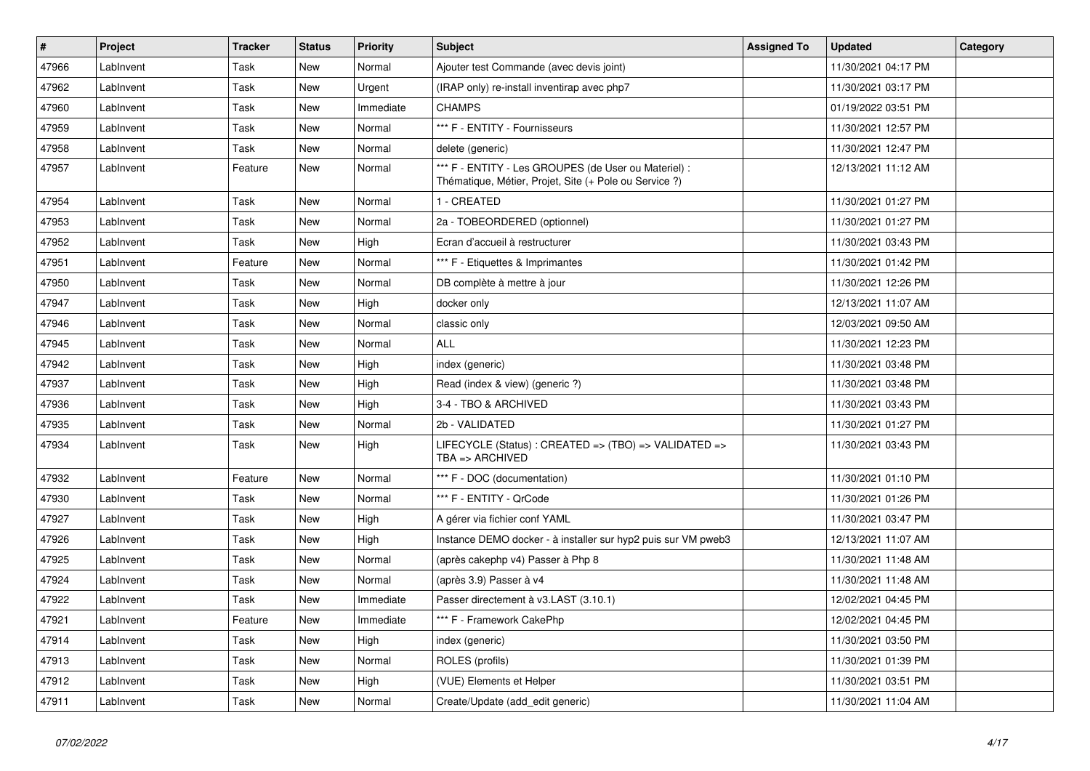| $\vert$ # | Project   | <b>Tracker</b> | <b>Status</b> | <b>Priority</b> | <b>Subject</b>                                                                                                 | <b>Assigned To</b> | <b>Updated</b>      | Category |
|-----------|-----------|----------------|---------------|-----------------|----------------------------------------------------------------------------------------------------------------|--------------------|---------------------|----------|
| 47966     | LabInvent | Task           | New           | Normal          | Ajouter test Commande (avec devis joint)                                                                       |                    | 11/30/2021 04:17 PM |          |
| 47962     | Lablnvent | Task           | New           | Urgent          | (IRAP only) re-install inventirap avec php7                                                                    |                    | 11/30/2021 03:17 PM |          |
| 47960     | LabInvent | Task           | <b>New</b>    | Immediate       | <b>CHAMPS</b>                                                                                                  |                    | 01/19/2022 03:51 PM |          |
| 47959     | LabInvent | Task           | <b>New</b>    | Normal          | *** F - ENTITY - Fournisseurs                                                                                  |                    | 11/30/2021 12:57 PM |          |
| 47958     | LabInvent | Task           | New           | Normal          | delete (generic)                                                                                               |                    | 11/30/2021 12:47 PM |          |
| 47957     | LabInvent | Feature        | New           | Normal          | *** F - ENTITY - Les GROUPES (de User ou Materiel) :<br>Thématique, Métier, Projet, Site (+ Pole ou Service ?) |                    | 12/13/2021 11:12 AM |          |
| 47954     | Lablnvent | Task           | <b>New</b>    | Normal          | 1 - CREATED                                                                                                    |                    | 11/30/2021 01:27 PM |          |
| 47953     | LabInvent | Task           | <b>New</b>    | Normal          | 2a - TOBEORDERED (optionnel)                                                                                   |                    | 11/30/2021 01:27 PM |          |
| 47952     | Lablnvent | Task           | <b>New</b>    | High            | Ecran d'accueil à restructurer                                                                                 |                    | 11/30/2021 03:43 PM |          |
| 47951     | LabInvent | Feature        | <b>New</b>    | Normal          | *** F - Etiquettes & Imprimantes                                                                               |                    | 11/30/2021 01:42 PM |          |
| 47950     | LabInvent | Task           | <b>New</b>    | Normal          | DB complète à mettre à jour                                                                                    |                    | 11/30/2021 12:26 PM |          |
| 47947     | LabInvent | Task           | <b>New</b>    | High            | docker only                                                                                                    |                    | 12/13/2021 11:07 AM |          |
| 47946     | LabInvent | Task           | New           | Normal          | classic only                                                                                                   |                    | 12/03/2021 09:50 AM |          |
| 47945     | LabInvent | Task           | New           | Normal          | <b>ALL</b>                                                                                                     |                    | 11/30/2021 12:23 PM |          |
| 47942     | LabInvent | Task           | New           | High            | index (generic)                                                                                                |                    | 11/30/2021 03:48 PM |          |
| 47937     | LabInvent | Task           | New           | High            | Read (index & view) (generic ?)                                                                                |                    | 11/30/2021 03:48 PM |          |
| 47936     | LabInvent | Task           | New           | High            | 3-4 - TBO & ARCHIVED                                                                                           |                    | 11/30/2021 03:43 PM |          |
| 47935     | LabInvent | Task           | New           | Normal          | 2b - VALIDATED                                                                                                 |                    | 11/30/2021 01:27 PM |          |
| 47934     | LabInvent | Task           | New           | High            | LIFECYCLE (Status): CREATED => (TBO) => VALIDATED =><br>$TBA \equiv > ARCHIVED$                                |                    | 11/30/2021 03:43 PM |          |
| 47932     | LabInvent | Feature        | New           | Normal          | *** F - DOC (documentation)                                                                                    |                    | 11/30/2021 01:10 PM |          |
| 47930     | LabInvent | Task           | New           | Normal          | *** F - ENTITY - QrCode                                                                                        |                    | 11/30/2021 01:26 PM |          |
| 47927     | Lablnvent | Task           | <b>New</b>    | High            | A gérer via fichier conf YAML                                                                                  |                    | 11/30/2021 03:47 PM |          |
| 47926     | LabInvent | Task           | New           | High            | Instance DEMO docker - à installer sur hyp2 puis sur VM pweb3                                                  |                    | 12/13/2021 11:07 AM |          |
| 47925     | LabInvent | Task           | <b>New</b>    | Normal          | (après cakephp v4) Passer à Php 8                                                                              |                    | 11/30/2021 11:48 AM |          |
| 47924     | LabInvent | Task           | <b>New</b>    | Normal          | (après 3.9) Passer à v4                                                                                        |                    | 11/30/2021 11:48 AM |          |
| 47922     | LabInvent | Task           | New           | Immediate       | Passer directement à v3.LAST (3.10.1)                                                                          |                    | 12/02/2021 04:45 PM |          |
| 47921     | LabInvent | Feature        | New           | Immediate       | *** F - Framework CakePhp                                                                                      |                    | 12/02/2021 04:45 PM |          |
| 47914     | LabInvent | Task           | New           | High            | index (generic)                                                                                                |                    | 11/30/2021 03:50 PM |          |
| 47913     | LabInvent | Task           | <b>New</b>    | Normal          | ROLES (profils)                                                                                                |                    | 11/30/2021 01:39 PM |          |
| 47912     | LabInvent | Task           | <b>New</b>    | High            | (VUE) Elements et Helper                                                                                       |                    | 11/30/2021 03:51 PM |          |
| 47911     | LabInvent | Task           | <b>New</b>    | Normal          | Create/Update (add_edit generic)                                                                               |                    | 11/30/2021 11:04 AM |          |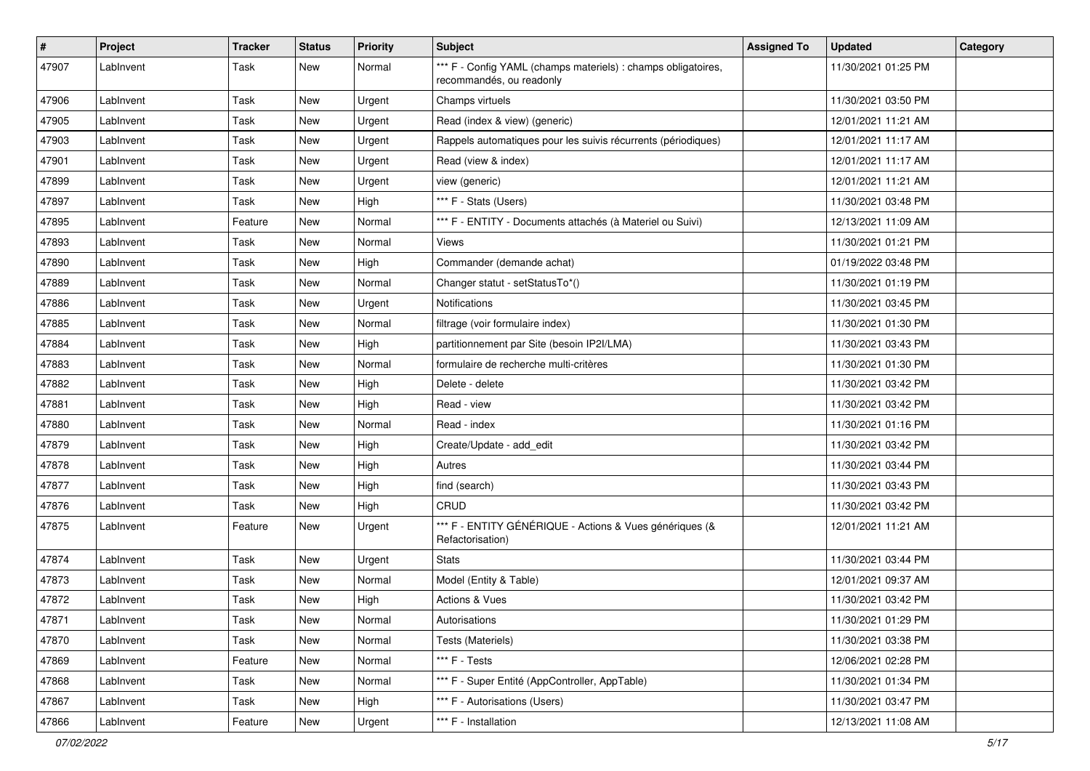| #     | Project   | <b>Tracker</b> | <b>Status</b> | <b>Priority</b> | <b>Subject</b>                                                                            | <b>Assigned To</b> | <b>Updated</b>      | Category |
|-------|-----------|----------------|---------------|-----------------|-------------------------------------------------------------------------------------------|--------------------|---------------------|----------|
| 47907 | LabInvent | Task           | New           | Normal          | *** F - Config YAML (champs materiels) : champs obligatoires,<br>recommandés, ou readonly |                    | 11/30/2021 01:25 PM |          |
| 47906 | LabInvent | Task           | <b>New</b>    | Urgent          | Champs virtuels                                                                           |                    | 11/30/2021 03:50 PM |          |
| 47905 | LabInvent | Task           | New           | Urgent          | Read (index & view) (generic)                                                             |                    | 12/01/2021 11:21 AM |          |
| 47903 | LabInvent | Task           | <b>New</b>    | Urgent          | Rappels automatiques pour les suivis récurrents (périodiques)                             |                    | 12/01/2021 11:17 AM |          |
| 47901 | LabInvent | Task           | <b>New</b>    | Urgent          | Read (view & index)                                                                       |                    | 12/01/2021 11:17 AM |          |
| 47899 | LabInvent | Task           | <b>New</b>    | Urgent          | view (generic)                                                                            |                    | 12/01/2021 11:21 AM |          |
| 47897 | LabInvent | Task           | New           | High            | *** F - Stats (Users)                                                                     |                    | 11/30/2021 03:48 PM |          |
| 47895 | LabInvent | Feature        | New           | Normal          | *** F - ENTITY - Documents attachés (à Materiel ou Suivi)                                 |                    | 12/13/2021 11:09 AM |          |
| 47893 | LabInvent | Task           | <b>New</b>    | Normal          | Views                                                                                     |                    | 11/30/2021 01:21 PM |          |
| 47890 | LabInvent | Task           | New           | High            | Commander (demande achat)                                                                 |                    | 01/19/2022 03:48 PM |          |
| 47889 | LabInvent | Task           | <b>New</b>    | Normal          | Changer statut - setStatusTo*()                                                           |                    | 11/30/2021 01:19 PM |          |
| 47886 | LabInvent | Task           | New           | Urgent          | Notifications                                                                             |                    | 11/30/2021 03:45 PM |          |
| 47885 | LabInvent | Task           | New           | Normal          | filtrage (voir formulaire index)                                                          |                    | 11/30/2021 01:30 PM |          |
| 47884 | LabInvent | Task           | <b>New</b>    | High            | partitionnement par Site (besoin IP2I/LMA)                                                |                    | 11/30/2021 03:43 PM |          |
| 47883 | LabInvent | Task           | New           | Normal          | formulaire de recherche multi-critères                                                    |                    | 11/30/2021 01:30 PM |          |
| 47882 | LabInvent | Task           | New           | High            | Delete - delete                                                                           |                    | 11/30/2021 03:42 PM |          |
| 47881 | LabInvent | Task           | <b>New</b>    | High            | Read - view                                                                               |                    | 11/30/2021 03:42 PM |          |
| 47880 | LabInvent | Task           | <b>New</b>    | Normal          | Read - index                                                                              |                    | 11/30/2021 01:16 PM |          |
| 47879 | LabInvent | Task           | <b>New</b>    | High            | Create/Update - add_edit                                                                  |                    | 11/30/2021 03:42 PM |          |
| 47878 | LabInvent | Task           | New           | High            | Autres                                                                                    |                    | 11/30/2021 03:44 PM |          |
| 47877 | LabInvent | Task           | New           | High            | find (search)                                                                             |                    | 11/30/2021 03:43 PM |          |
| 47876 | LabInvent | Task           | <b>New</b>    | High            | CRUD                                                                                      |                    | 11/30/2021 03:42 PM |          |
| 47875 | LabInvent | Feature        | New           | Urgent          | *** F - ENTITY GÉNÉRIQUE - Actions & Vues génériques (&<br>Refactorisation)               |                    | 12/01/2021 11:21 AM |          |
| 47874 | LabInvent | Task           | <b>New</b>    | Urgent          | <b>Stats</b>                                                                              |                    | 11/30/2021 03:44 PM |          |
| 47873 | LabInvent | Task           | <b>New</b>    | Normal          | Model (Entity & Table)                                                                    |                    | 12/01/2021 09:37 AM |          |
| 47872 | LabInvent | Task           | <b>New</b>    | High            | Actions & Vues                                                                            |                    | 11/30/2021 03:42 PM |          |
| 47871 | LabInvent | Task           | New           | Normal          | Autorisations                                                                             |                    | 11/30/2021 01:29 PM |          |
| 47870 | LabInvent | Task           | New           | Normal          | Tests (Materiels)                                                                         |                    | 11/30/2021 03:38 PM |          |
| 47869 | LabInvent | Feature        | New           | Normal          | *** F - Tests                                                                             |                    | 12/06/2021 02:28 PM |          |
| 47868 | LabInvent | Task           | New           | Normal          | *** F - Super Entité (AppController, AppTable)                                            |                    | 11/30/2021 01:34 PM |          |
| 47867 | LabInvent | Task           | New           | High            | *** F - Autorisations (Users)                                                             |                    | 11/30/2021 03:47 PM |          |
| 47866 | LabInvent | Feature        | New           | Urgent          | *** F - Installation                                                                      |                    | 12/13/2021 11:08 AM |          |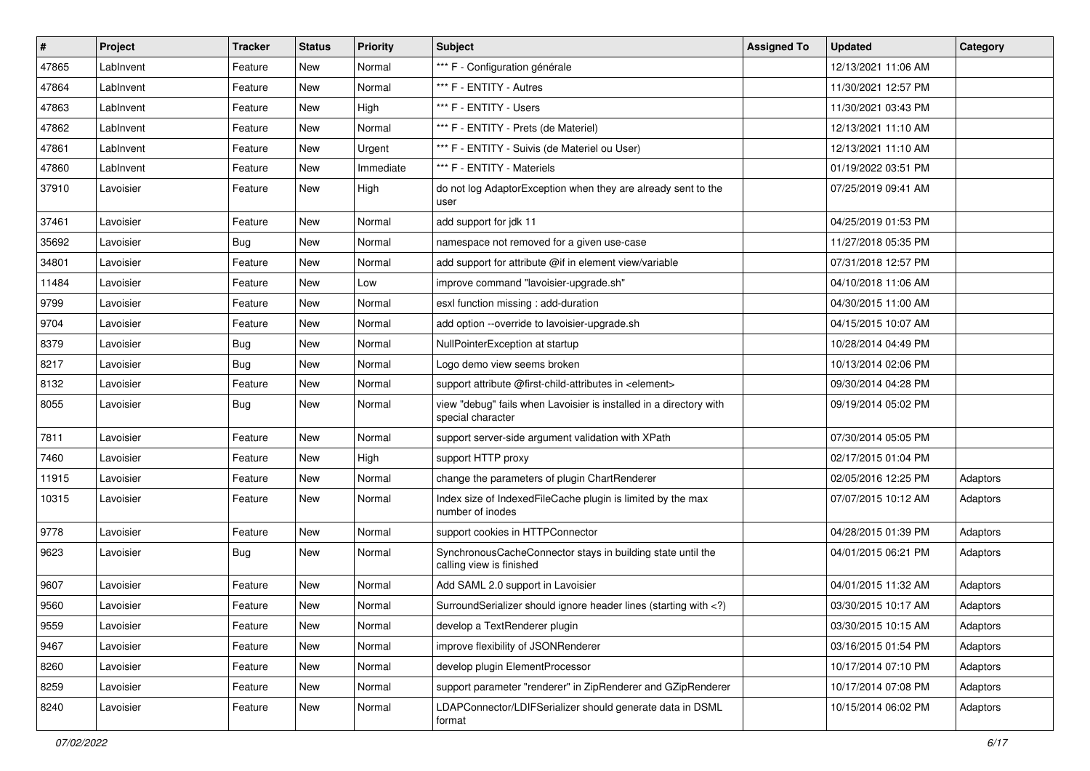| $\vert$ # | Project   | <b>Tracker</b> | <b>Status</b> | <b>Priority</b> | Subject                                                                                                                     | <b>Assigned To</b> | <b>Updated</b>      | Category |
|-----------|-----------|----------------|---------------|-----------------|-----------------------------------------------------------------------------------------------------------------------------|--------------------|---------------------|----------|
| 47865     | LabInvent | Feature        | New           | Normal          | *** F - Configuration générale                                                                                              |                    | 12/13/2021 11:06 AM |          |
| 47864     | LabInvent | Feature        | <b>New</b>    | Normal          | *** F - ENTITY - Autres                                                                                                     |                    | 11/30/2021 12:57 PM |          |
| 47863     | LabInvent | Feature        | New           | High            | *** F - ENTITY - Users                                                                                                      |                    | 11/30/2021 03:43 PM |          |
| 47862     | LabInvent | Feature        | New           | Normal          | *** F - ENTITY - Prets (de Materiel)                                                                                        |                    | 12/13/2021 11:10 AM |          |
| 47861     | LabInvent | Feature        | <b>New</b>    | Urgent          | *** F - ENTITY - Suivis (de Materiel ou User)                                                                               |                    | 12/13/2021 11:10 AM |          |
| 47860     | LabInvent | Feature        | <b>New</b>    | Immediate       | *** F - ENTITY - Materiels                                                                                                  |                    | 01/19/2022 03:51 PM |          |
| 37910     | Lavoisier | Feature        | New           | High            | do not log AdaptorException when they are already sent to the<br>user                                                       |                    | 07/25/2019 09:41 AM |          |
| 37461     | Lavoisier | Feature        | New           | Normal          | add support for jdk 11                                                                                                      |                    | 04/25/2019 01:53 PM |          |
| 35692     | Lavoisier | <b>Bug</b>     | <b>New</b>    | Normal          | namespace not removed for a given use-case                                                                                  |                    | 11/27/2018 05:35 PM |          |
| 34801     | Lavoisier | Feature        | New           | Normal          | add support for attribute @if in element view/variable                                                                      |                    | 07/31/2018 12:57 PM |          |
| 11484     | Lavoisier | Feature        | New           | Low             | improve command "lavoisier-upgrade.sh"                                                                                      |                    | 04/10/2018 11:06 AM |          |
| 9799      | Lavoisier | Feature        | <b>New</b>    | Normal          | esxl function missing : add-duration                                                                                        |                    | 04/30/2015 11:00 AM |          |
| 9704      | Lavoisier | Feature        | New           | Normal          | add option --override to lavoisier-upgrade.sh                                                                               |                    | 04/15/2015 10:07 AM |          |
| 8379      | Lavoisier | Bug            | <b>New</b>    | Normal          | NullPointerException at startup                                                                                             |                    | 10/28/2014 04:49 PM |          |
| 8217      | Lavoisier | Bug            | New           | Normal          | Logo demo view seems broken                                                                                                 |                    | 10/13/2014 02:06 PM |          |
| 8132      | Lavoisier | Feature        | New           | Normal          | support attribute @first-child-attributes in <element></element>                                                            |                    | 09/30/2014 04:28 PM |          |
| 8055      | Lavoisier | <b>Bug</b>     | New           | Normal          | view "debug" fails when Lavoisier is installed in a directory with<br>special character                                     |                    | 09/19/2014 05:02 PM |          |
| 7811      | Lavoisier | Feature        | <b>New</b>    | Normal          | support server-side argument validation with XPath                                                                          |                    | 07/30/2014 05:05 PM |          |
| 7460      | Lavoisier | Feature        | New           | High            | support HTTP proxy                                                                                                          |                    | 02/17/2015 01:04 PM |          |
| 11915     | Lavoisier | Feature        | New           | Normal          | change the parameters of plugin ChartRenderer                                                                               |                    | 02/05/2016 12:25 PM | Adaptors |
| 10315     | Lavoisier | Feature        | <b>New</b>    | Normal          | Index size of IndexedFileCache plugin is limited by the max<br>number of inodes                                             |                    | 07/07/2015 10:12 AM | Adaptors |
| 9778      | Lavoisier | Feature        | <b>New</b>    | Normal          | support cookies in HTTPConnector                                                                                            |                    | 04/28/2015 01:39 PM | Adaptors |
| 9623      | Lavoisier | <b>Bug</b>     | New           | Normal          | SynchronousCacheConnector stays in building state until the<br>calling view is finished                                     |                    | 04/01/2015 06:21 PM | Adaptors |
| 9607      | Lavoisier | Feature        | <b>New</b>    | Normal          | Add SAML 2.0 support in Lavoisier                                                                                           |                    | 04/01/2015 11:32 AM | Adaptors |
| 9560      | Lavoisier | Feature        | New           | Normal          | SurroundSerializer should ignore header lines (starting with )</td <td></td> <td>03/30/2015 10:17 AM</td> <td>Adaptors</td> |                    | 03/30/2015 10:17 AM | Adaptors |
| 9559      | Lavoisier | Feature        | New           | Normal          | develop a TextRenderer plugin                                                                                               |                    | 03/30/2015 10:15 AM | Adaptors |
| 9467      | Lavoisier | Feature        | <b>New</b>    | Normal          | improve flexibility of JSONRenderer                                                                                         |                    | 03/16/2015 01:54 PM | Adaptors |
| 8260      | Lavoisier | Feature        | New           | Normal          | develop plugin ElementProcessor                                                                                             |                    | 10/17/2014 07:10 PM | Adaptors |
| 8259      | Lavoisier | Feature        | New           | Normal          | support parameter "renderer" in ZipRenderer and GZipRenderer                                                                |                    | 10/17/2014 07:08 PM | Adaptors |
| 8240      | Lavoisier | Feature        | New           | Normal          | LDAPConnector/LDIFSerializer should generate data in DSML<br>format                                                         |                    | 10/15/2014 06:02 PM | Adaptors |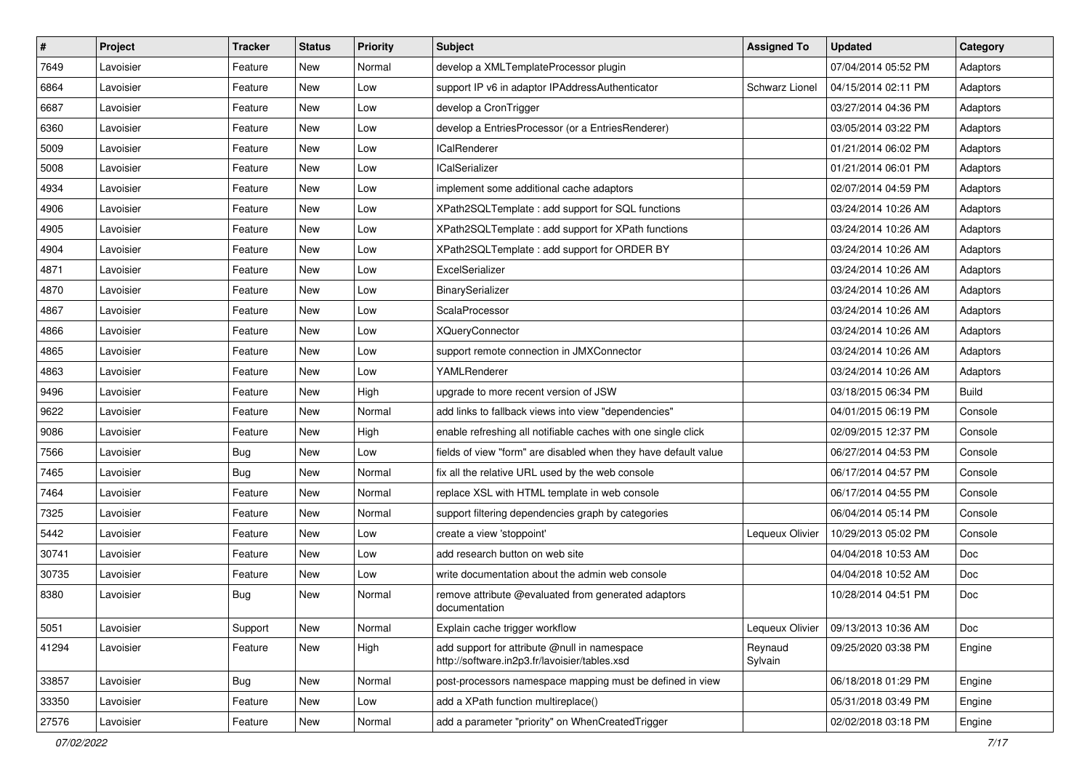| $\sharp$ | Project   | <b>Tracker</b> | <b>Status</b> | <b>Priority</b> | Subject                                                                                       | <b>Assigned To</b> | <b>Updated</b>      | Category     |
|----------|-----------|----------------|---------------|-----------------|-----------------------------------------------------------------------------------------------|--------------------|---------------------|--------------|
| 7649     | Lavoisier | Feature        | <b>New</b>    | Normal          | develop a XMLTemplateProcessor plugin                                                         |                    | 07/04/2014 05:52 PM | Adaptors     |
| 6864     | Lavoisier | Feature        | <b>New</b>    | Low             | support IP v6 in adaptor IPAddressAuthenticator                                               | Schwarz Lionel     | 04/15/2014 02:11 PM | Adaptors     |
| 6687     | Lavoisier | Feature        | <b>New</b>    | Low             | develop a CronTrigger                                                                         |                    | 03/27/2014 04:36 PM | Adaptors     |
| 6360     | Lavoisier | Feature        | <b>New</b>    | Low             | develop a EntriesProcessor (or a EntriesRenderer)                                             |                    | 03/05/2014 03:22 PM | Adaptors     |
| 5009     | Lavoisier | Feature        | <b>New</b>    | Low             | <b>ICalRenderer</b>                                                                           |                    | 01/21/2014 06:02 PM | Adaptors     |
| 5008     | Lavoisier | Feature        | <b>New</b>    | Low             | <b>ICalSerializer</b>                                                                         |                    | 01/21/2014 06:01 PM | Adaptors     |
| 4934     | Lavoisier | Feature        | <b>New</b>    | Low             | implement some additional cache adaptors                                                      |                    | 02/07/2014 04:59 PM | Adaptors     |
| 4906     | Lavoisier | Feature        | <b>New</b>    | Low             | XPath2SQLTemplate : add support for SQL functions                                             |                    | 03/24/2014 10:26 AM | Adaptors     |
| 4905     | Lavoisier | Feature        | <b>New</b>    | Low             | XPath2SQLTemplate : add support for XPath functions                                           |                    | 03/24/2014 10:26 AM | Adaptors     |
| 4904     | Lavoisier | Feature        | New           | Low             | XPath2SQLTemplate : add support for ORDER BY                                                  |                    | 03/24/2014 10:26 AM | Adaptors     |
| 4871     | Lavoisier | Feature        | New           | Low             | ExcelSerializer                                                                               |                    | 03/24/2014 10:26 AM | Adaptors     |
| 4870     | Lavoisier | Feature        | <b>New</b>    | Low             | BinarySerializer                                                                              |                    | 03/24/2014 10:26 AM | Adaptors     |
| 4867     | Lavoisier | Feature        | New           | Low             | ScalaProcessor                                                                                |                    | 03/24/2014 10:26 AM | Adaptors     |
| 4866     | Lavoisier | Feature        | <b>New</b>    | Low             | <b>XQueryConnector</b>                                                                        |                    | 03/24/2014 10:26 AM | Adaptors     |
| 4865     | Lavoisier | Feature        | <b>New</b>    | Low             | support remote connection in JMXConnector                                                     |                    | 03/24/2014 10:26 AM | Adaptors     |
| 4863     | Lavoisier | Feature        | <b>New</b>    | Low             | YAMLRenderer                                                                                  |                    | 03/24/2014 10:26 AM | Adaptors     |
| 9496     | Lavoisier | Feature        | <b>New</b>    | High            | upgrade to more recent version of JSW                                                         |                    | 03/18/2015 06:34 PM | <b>Build</b> |
| 9622     | Lavoisier | Feature        | <b>New</b>    | Normal          | add links to fallback views into view "dependencies"                                          |                    | 04/01/2015 06:19 PM | Console      |
| 9086     | Lavoisier | Feature        | <b>New</b>    | High            | enable refreshing all notifiable caches with one single click                                 |                    | 02/09/2015 12:37 PM | Console      |
| 7566     | Lavoisier | Bug            | <b>New</b>    | Low             | fields of view "form" are disabled when they have default value                               |                    | 06/27/2014 04:53 PM | Console      |
| 7465     | Lavoisier | <b>Bug</b>     | <b>New</b>    | Normal          | fix all the relative URL used by the web console                                              |                    | 06/17/2014 04:57 PM | Console      |
| 7464     | Lavoisier | Feature        | <b>New</b>    | Normal          | replace XSL with HTML template in web console                                                 |                    | 06/17/2014 04:55 PM | Console      |
| 7325     | Lavoisier | Feature        | New           | Normal          | support filtering dependencies graph by categories                                            |                    | 06/04/2014 05:14 PM | Console      |
| 5442     | Lavoisier | Feature        | <b>New</b>    | Low             | create a view 'stoppoint'                                                                     | Lequeux Olivier    | 10/29/2013 05:02 PM | Console      |
| 30741    | Lavoisier | Feature        | <b>New</b>    | Low             | add research button on web site                                                               |                    | 04/04/2018 10:53 AM | <b>Doc</b>   |
| 30735    | Lavoisier | Feature        | New           | Low             | write documentation about the admin web console                                               |                    | 04/04/2018 10:52 AM | Doc          |
| 8380     | Lavoisier | <b>Bug</b>     | New           | Normal          | remove attribute @evaluated from generated adaptors<br>documentation                          |                    | 10/28/2014 04:51 PM | Doc          |
| 5051     | Lavoisier | Support        | New           | Normal          | Explain cache trigger workflow                                                                | Lequeux Olivier    | 09/13/2013 10:36 AM | Doc          |
| 41294    | Lavoisier | Feature        | New           | High            | add support for attribute @null in namespace<br>http://software.in2p3.fr/lavoisier/tables.xsd | Reynaud<br>Sylvain | 09/25/2020 03:38 PM | Engine       |
| 33857    | Lavoisier | Bug            | New           | Normal          | post-processors namespace mapping must be defined in view                                     |                    | 06/18/2018 01:29 PM | Engine       |
| 33350    | Lavoisier | Feature        | <b>New</b>    | Low             | add a XPath function multireplace()                                                           |                    | 05/31/2018 03:49 PM | Engine       |
| 27576    | Lavoisier | Feature        | New           | Normal          | add a parameter "priority" on WhenCreatedTrigger                                              |                    | 02/02/2018 03:18 PM | Engine       |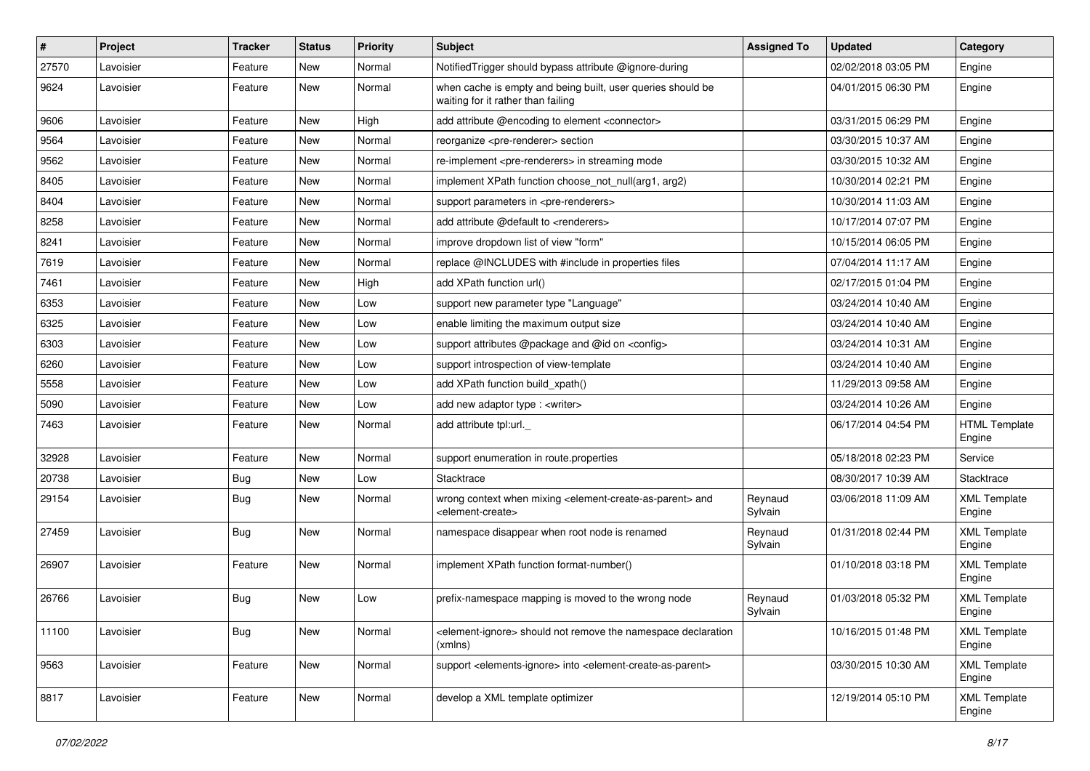| #     | Project   | <b>Tracker</b> | <b>Status</b> | <b>Priority</b> | <b>Subject</b>                                                                                                            | <b>Assigned To</b> | <b>Updated</b>      | Category                       |
|-------|-----------|----------------|---------------|-----------------|---------------------------------------------------------------------------------------------------------------------------|--------------------|---------------------|--------------------------------|
| 27570 | Lavoisier | Feature        | New           | Normal          | NotifiedTrigger should bypass attribute @ignore-during                                                                    |                    | 02/02/2018 03:05 PM | Engine                         |
| 9624  | Lavoisier | Feature        | New           | Normal          | when cache is empty and being built, user queries should be<br>waiting for it rather than failing                         |                    | 04/01/2015 06:30 PM | Engine                         |
| 9606  | Lavoisier | Feature        | <b>New</b>    | High            | add attribute @encoding to element <connector></connector>                                                                |                    | 03/31/2015 06:29 PM | Engine                         |
| 9564  | Lavoisier | Feature        | <b>New</b>    | Normal          | reorganize <pre-renderer> section</pre-renderer>                                                                          |                    | 03/30/2015 10:37 AM | Engine                         |
| 9562  | Lavoisier | Feature        | New           | Normal          | re-implement <pre-renderers> in streaming mode</pre-renderers>                                                            |                    | 03/30/2015 10:32 AM | Engine                         |
| 8405  | Lavoisier | Feature        | New           | Normal          | implement XPath function choose not null(arg1, arg2)                                                                      |                    | 10/30/2014 02:21 PM | Engine                         |
| 8404  | Lavoisier | Feature        | New           | Normal          | support parameters in <pre-renderers></pre-renderers>                                                                     |                    | 10/30/2014 11:03 AM | Engine                         |
| 8258  | Lavoisier | Feature        | New           | Normal          | add attribute @default to <renderers></renderers>                                                                         |                    | 10/17/2014 07:07 PM | Engine                         |
| 8241  | Lavoisier | Feature        | <b>New</b>    | Normal          | improve dropdown list of view "form"                                                                                      |                    | 10/15/2014 06:05 PM | Engine                         |
| 7619  | Lavoisier | Feature        | New           | Normal          | replace @INCLUDES with #include in properties files                                                                       |                    | 07/04/2014 11:17 AM | Engine                         |
| 7461  | Lavoisier | Feature        | New           | High            | add XPath function url()                                                                                                  |                    | 02/17/2015 01:04 PM | Engine                         |
| 6353  | Lavoisier | Feature        | New           | Low             | support new parameter type "Language"                                                                                     |                    | 03/24/2014 10:40 AM | Engine                         |
| 6325  | Lavoisier | Feature        | <b>New</b>    | Low             | enable limiting the maximum output size                                                                                   |                    | 03/24/2014 10:40 AM | Engine                         |
| 6303  | Lavoisier | Feature        | New           | Low             | support attributes @package and @id on <config></config>                                                                  |                    | 03/24/2014 10:31 AM | Engine                         |
| 6260  | Lavoisier | Feature        | New           | Low             | support introspection of view-template                                                                                    |                    | 03/24/2014 10:40 AM | Engine                         |
| 5558  | Lavoisier | Feature        | New           | Low             | add XPath function build xpath()                                                                                          |                    | 11/29/2013 09:58 AM | Engine                         |
| 5090  | Lavoisier | Feature        | <b>New</b>    | Low             | add new adaptor type : < writer>                                                                                          |                    | 03/24/2014 10:26 AM | Engine                         |
| 7463  | Lavoisier | Feature        | New           | Normal          | add attribute tpl:url.                                                                                                    |                    | 06/17/2014 04:54 PM | <b>HTML Template</b><br>Engine |
| 32928 | Lavoisier | Feature        | New           | Normal          | support enumeration in route properties                                                                                   |                    | 05/18/2018 02:23 PM | Service                        |
| 20738 | Lavoisier | Bug            | New           | Low             | Stacktrace                                                                                                                |                    | 08/30/2017 10:39 AM | Stacktrace                     |
| 29154 | Lavoisier | Bug            | <b>New</b>    | Normal          | wrong context when mixing <element-create-as-parent> and<br/><element-create></element-create></element-create-as-parent> | Reynaud<br>Sylvain | 03/06/2018 11:09 AM | <b>XML Template</b><br>Engine  |
| 27459 | Lavoisier | Bug            | New           | Normal          | namespace disappear when root node is renamed                                                                             | Reynaud<br>Sylvain | 01/31/2018 02:44 PM | <b>XML Template</b><br>Engine  |
| 26907 | Lavoisier | Feature        | <b>New</b>    | Normal          | implement XPath function format-number()                                                                                  |                    | 01/10/2018 03:18 PM | <b>XML Template</b><br>Engine  |
| 26766 | Lavoisier | Bug            | <b>New</b>    | Low             | prefix-namespace mapping is moved to the wrong node                                                                       | Reynaud<br>Sylvain | 01/03/2018 05:32 PM | <b>XML Template</b><br>Engine  |
| 11100 | Lavoisier | <b>Bug</b>     | New           | Normal          | <element-ignore> should not remove the namespace declaration<br/>(xmlns)</element-ignore>                                 |                    | 10/16/2015 01:48 PM | <b>XML</b> Template<br>Engine  |
| 9563  | Lavoisier | Feature        | <b>New</b>    | Normal          | support <elements-ignore> into <element-create-as-parent></element-create-as-parent></elements-ignore>                    |                    | 03/30/2015 10:30 AM | <b>XML Template</b><br>Engine  |
| 8817  | Lavoisier | Feature        | New           | Normal          | develop a XML template optimizer                                                                                          |                    | 12/19/2014 05:10 PM | <b>XML Template</b><br>Engine  |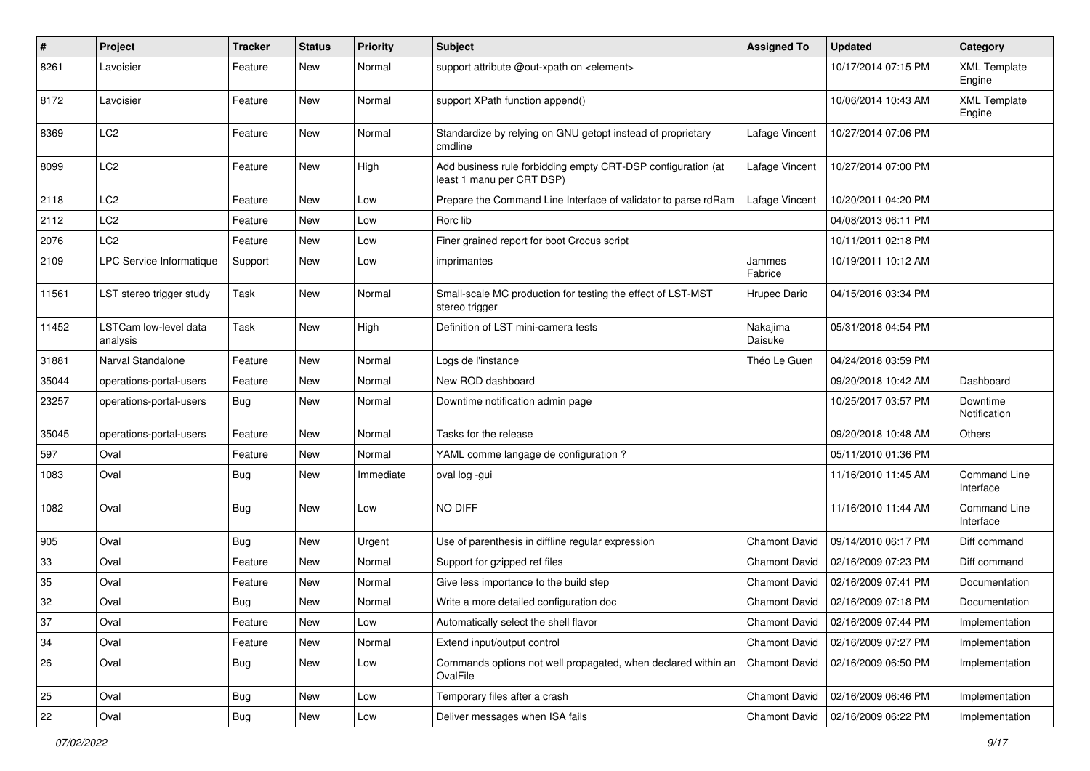| #     | Project                           | Tracker    | <b>Status</b> | <b>Priority</b> | <b>Subject</b>                                                                            | <b>Assigned To</b>   | <b>Updated</b>      | Category                         |
|-------|-----------------------------------|------------|---------------|-----------------|-------------------------------------------------------------------------------------------|----------------------|---------------------|----------------------------------|
| 8261  | Lavoisier                         | Feature    | New           | Normal          | support attribute @out-xpath on <element></element>                                       |                      | 10/17/2014 07:15 PM | <b>XML Template</b><br>Engine    |
| 8172  | Lavoisier                         | Feature    | <b>New</b>    | Normal          | support XPath function append()                                                           |                      | 10/06/2014 10:43 AM | <b>XML Template</b><br>Engine    |
| 8369  | LC <sub>2</sub>                   | Feature    | New           | Normal          | Standardize by relying on GNU getopt instead of proprietary<br>cmdline                    | Lafage Vincent       | 10/27/2014 07:06 PM |                                  |
| 8099  | LC <sub>2</sub>                   | Feature    | <b>New</b>    | High            | Add business rule forbidding empty CRT-DSP configuration (at<br>least 1 manu per CRT DSP) | Lafage Vincent       | 10/27/2014 07:00 PM |                                  |
| 2118  | LC <sub>2</sub>                   | Feature    | <b>New</b>    | Low             | Prepare the Command Line Interface of validator to parse rdRam                            | Lafage Vincent       | 10/20/2011 04:20 PM |                                  |
| 2112  | LC <sub>2</sub>                   | Feature    | <b>New</b>    | Low             | Rorc lib                                                                                  |                      | 04/08/2013 06:11 PM |                                  |
| 2076  | LC <sub>2</sub>                   | Feature    | New           | Low             | Finer grained report for boot Crocus script                                               |                      | 10/11/2011 02:18 PM |                                  |
| 2109  | LPC Service Informatique          | Support    | New           | Low             | imprimantes                                                                               | Jammes<br>Fabrice    | 10/19/2011 10:12 AM |                                  |
| 11561 | LST stereo trigger study          | Task       | <b>New</b>    | Normal          | Small-scale MC production for testing the effect of LST-MST<br>stereo trigger             | Hrupec Dario         | 04/15/2016 03:34 PM |                                  |
| 11452 | LSTCam low-level data<br>analysis | Task       | New           | High            | Definition of LST mini-camera tests                                                       | Nakajima<br>Daisuke  | 05/31/2018 04:54 PM |                                  |
| 31881 | Narval Standalone                 | Feature    | <b>New</b>    | Normal          | Logs de l'instance                                                                        | Théo Le Guen         | 04/24/2018 03:59 PM |                                  |
| 35044 | operations-portal-users           | Feature    | New           | Normal          | New ROD dashboard                                                                         |                      | 09/20/2018 10:42 AM | Dashboard                        |
| 23257 | operations-portal-users           | Bug        | New           | Normal          | Downtime notification admin page                                                          |                      | 10/25/2017 03:57 PM | Downtime<br>Notification         |
| 35045 | operations-portal-users           | Feature    | <b>New</b>    | Normal          | Tasks for the release                                                                     |                      | 09/20/2018 10:48 AM | Others                           |
| 597   | Oval                              | Feature    | <b>New</b>    | Normal          | YAML comme langage de configuration ?                                                     |                      | 05/11/2010 01:36 PM |                                  |
| 1083  | Oval                              | Bug        | New           | Immediate       | oval log -gui                                                                             |                      | 11/16/2010 11:45 AM | Command Line<br>Interface        |
| 1082  | Oval                              | <b>Bug</b> | <b>New</b>    | Low             | NO DIFF                                                                                   |                      | 11/16/2010 11:44 AM | <b>Command Line</b><br>Interface |
| 905   | Oval                              | <b>Bug</b> | <b>New</b>    | Urgent          | Use of parenthesis in diffline regular expression                                         | Chamont David        | 09/14/2010 06:17 PM | Diff command                     |
| 33    | Oval                              | Feature    | <b>New</b>    | Normal          | Support for gzipped ref files                                                             | <b>Chamont David</b> | 02/16/2009 07:23 PM | Diff command                     |
| 35    | Oval                              | Feature    | New           | Normal          | Give less importance to the build step                                                    | <b>Chamont David</b> | 02/16/2009 07:41 PM | Documentation                    |
| 32    | Oval                              | <b>Bug</b> | New           | Normal          | Write a more detailed configuration doc                                                   | <b>Chamont David</b> | 02/16/2009 07:18 PM | Documentation                    |
| 37    | Oval                              | Feature    | New           | Low             | Automatically select the shell flavor                                                     | <b>Chamont David</b> | 02/16/2009 07:44 PM | Implementation                   |
| 34    | Oval                              | Feature    | New           | Normal          | Extend input/output control                                                               | Chamont David        | 02/16/2009 07:27 PM | Implementation                   |
| 26    | Oval                              | Bug        | New           | Low             | Commands options not well propagated, when declared within an<br>OvalFile                 | <b>Chamont David</b> | 02/16/2009 06:50 PM | Implementation                   |
| 25    | Oval                              | Bug        | <b>New</b>    | Low             | Temporary files after a crash                                                             | Chamont David        | 02/16/2009 06:46 PM | Implementation                   |
| 22    | Oval                              | Bug        | New           | Low             | Deliver messages when ISA fails                                                           | Chamont David        | 02/16/2009 06:22 PM | Implementation                   |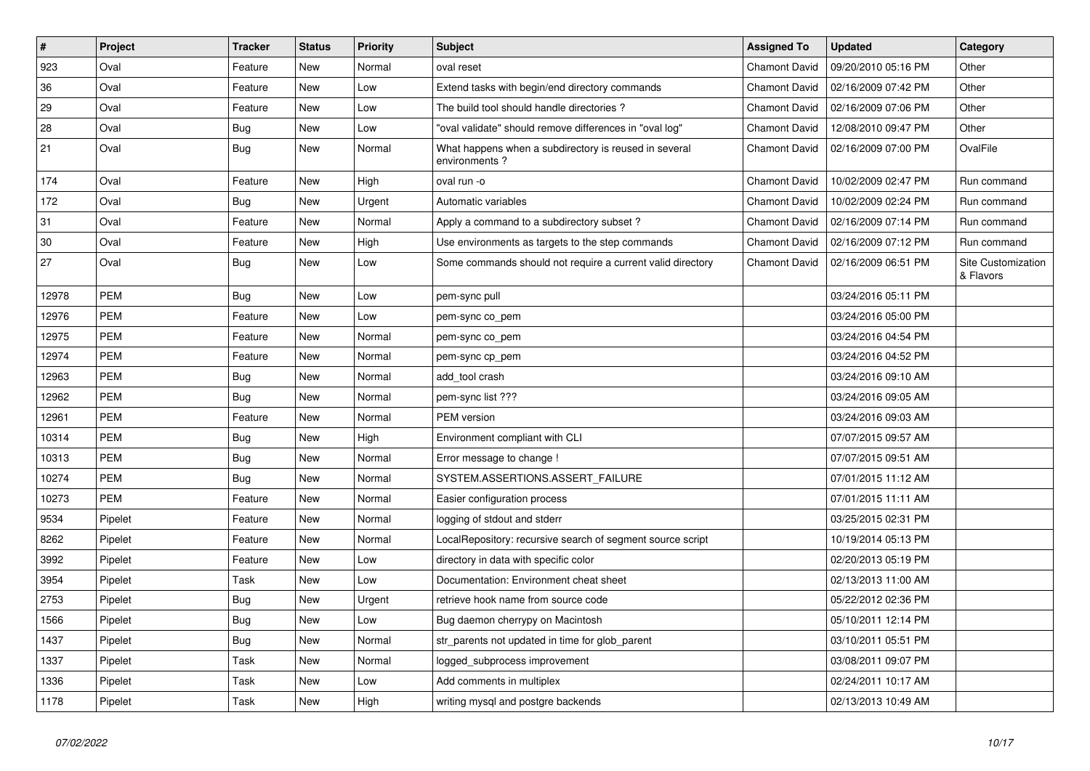| $\sharp$ | Project    | <b>Tracker</b> | <b>Status</b> | <b>Priority</b> | <b>Subject</b>                                                         | <b>Assigned To</b>   | <b>Updated</b>      | Category                        |
|----------|------------|----------------|---------------|-----------------|------------------------------------------------------------------------|----------------------|---------------------|---------------------------------|
| 923      | Oval       | Feature        | New           | Normal          | oval reset                                                             | <b>Chamont David</b> | 09/20/2010 05:16 PM | Other                           |
| 36       | Oval       | Feature        | New           | Low             | Extend tasks with begin/end directory commands                         | <b>Chamont David</b> | 02/16/2009 07:42 PM | Other                           |
| 29       | Oval       | Feature        | New           | Low             | The build tool should handle directories?                              | <b>Chamont David</b> | 02/16/2009 07:06 PM | Other                           |
| 28       | Oval       | Bug            | New           | Low             | 'oval validate" should remove differences in "oval log"                | <b>Chamont David</b> | 12/08/2010 09:47 PM | Other                           |
| 21       | Oval       | Bug            | New           | Normal          | What happens when a subdirectory is reused in several<br>environments? | <b>Chamont David</b> | 02/16/2009 07:00 PM | OvalFile                        |
| 174      | Oval       | Feature        | <b>New</b>    | High            | oval run -o                                                            | <b>Chamont David</b> | 10/02/2009 02:47 PM | Run command                     |
| 172      | Oval       | <b>Bug</b>     | <b>New</b>    | Urgent          | Automatic variables                                                    | <b>Chamont David</b> | 10/02/2009 02:24 PM | Run command                     |
| 31       | Oval       | Feature        | <b>New</b>    | Normal          | Apply a command to a subdirectory subset?                              | <b>Chamont David</b> | 02/16/2009 07:14 PM | Run command                     |
| 30       | Oval       | Feature        | <b>New</b>    | High            | Use environments as targets to the step commands                       | <b>Chamont David</b> | 02/16/2009 07:12 PM | Run command                     |
| 27       | Oval       | Bug            | <b>New</b>    | Low             | Some commands should not require a current valid directory             | <b>Chamont David</b> | 02/16/2009 06:51 PM | Site Customization<br>& Flavors |
| 12978    | <b>PEM</b> | Bug            | <b>New</b>    | Low             | pem-sync pull                                                          |                      | 03/24/2016 05:11 PM |                                 |
| 12976    | PEM        | Feature        | <b>New</b>    | Low             | pem-sync co_pem                                                        |                      | 03/24/2016 05:00 PM |                                 |
| 12975    | PEM        | Feature        | New           | Normal          | pem-sync co_pem                                                        |                      | 03/24/2016 04:54 PM |                                 |
| 12974    | PEM        | Feature        | <b>New</b>    | Normal          | pem-sync cp_pem                                                        |                      | 03/24/2016 04:52 PM |                                 |
| 12963    | PEM        | <b>Bug</b>     | New           | Normal          | add tool crash                                                         |                      | 03/24/2016 09:10 AM |                                 |
| 12962    | PEM        | <b>Bug</b>     | New           | Normal          | pem-sync list ???                                                      |                      | 03/24/2016 09:05 AM |                                 |
| 12961    | PEM        | Feature        | New           | Normal          | PEM version                                                            |                      | 03/24/2016 09:03 AM |                                 |
| 10314    | <b>PEM</b> | <b>Bug</b>     | New           | High            | Environment compliant with CLI                                         |                      | 07/07/2015 09:57 AM |                                 |
| 10313    | <b>PEM</b> | <b>Bug</b>     | New           | Normal          | Error message to change !                                              |                      | 07/07/2015 09:51 AM |                                 |
| 10274    | <b>PEM</b> | <b>Bug</b>     | New           | Normal          | SYSTEM.ASSERTIONS.ASSERT_FAILURE                                       |                      | 07/01/2015 11:12 AM |                                 |
| 10273    | <b>PEM</b> | Feature        | New           | Normal          | Easier configuration process                                           |                      | 07/01/2015 11:11 AM |                                 |
| 9534     | Pipelet    | Feature        | New           | Normal          | logging of stdout and stderr                                           |                      | 03/25/2015 02:31 PM |                                 |
| 8262     | Pipelet    | Feature        | New           | Normal          | LocalRepository: recursive search of segment source script             |                      | 10/19/2014 05:13 PM |                                 |
| 3992     | Pipelet    | Feature        | <b>New</b>    | Low             | directory in data with specific color                                  |                      | 02/20/2013 05:19 PM |                                 |
| 3954     | Pipelet    | Task           | <b>New</b>    | Low             | Documentation: Environment cheat sheet                                 |                      | 02/13/2013 11:00 AM |                                 |
| 2753     | Pipelet    | <b>Bug</b>     | <b>New</b>    | Urgent          | retrieve hook name from source code                                    |                      | 05/22/2012 02:36 PM |                                 |
| 1566     | Pipelet    | <b>Bug</b>     | New           | Low             | Bug daemon cherrypy on Macintosh                                       |                      | 05/10/2011 12:14 PM |                                 |
| 1437     | Pipelet    | <b>Bug</b>     | <b>New</b>    | Normal          | str_parents not updated in time for glob_parent                        |                      | 03/10/2011 05:51 PM |                                 |
| 1337     | Pipelet    | Task           | <b>New</b>    | Normal          | logged_subprocess improvement                                          |                      | 03/08/2011 09:07 PM |                                 |
| 1336     | Pipelet    | Task           | <b>New</b>    | Low             | Add comments in multiplex                                              |                      | 02/24/2011 10:17 AM |                                 |
| 1178     | Pipelet    | Task           | <b>New</b>    | High            | writing mysql and postgre backends                                     |                      | 02/13/2013 10:49 AM |                                 |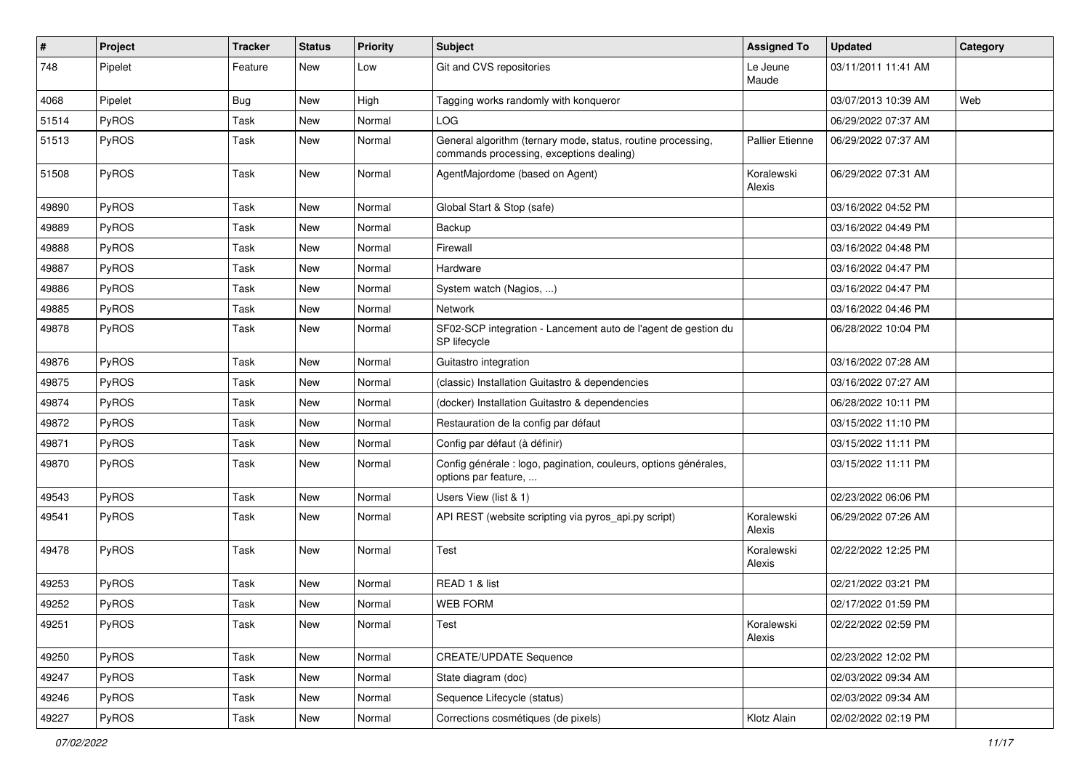| #     | Project      | <b>Tracker</b> | <b>Status</b> | <b>Priority</b> | <b>Subject</b>                                                                                           | <b>Assigned To</b>     | <b>Updated</b>      | Category |
|-------|--------------|----------------|---------------|-----------------|----------------------------------------------------------------------------------------------------------|------------------------|---------------------|----------|
| 748   | Pipelet      | Feature        | <b>New</b>    | Low             | Git and CVS repositories                                                                                 | Le Jeune<br>Maude      | 03/11/2011 11:41 AM |          |
| 4068  | Pipelet      | Bug            | <b>New</b>    | High            | Tagging works randomly with konqueror                                                                    |                        | 03/07/2013 10:39 AM | Web      |
| 51514 | PyROS        | Task           | New           | Normal          | LOG                                                                                                      |                        | 06/29/2022 07:37 AM |          |
| 51513 | PyROS        | Task           | New           | Normal          | General algorithm (ternary mode, status, routine processing,<br>commands processing, exceptions dealing) | <b>Pallier Etienne</b> | 06/29/2022 07:37 AM |          |
| 51508 | PyROS        | Task           | New           | Normal          | AgentMajordome (based on Agent)                                                                          | Koralewski<br>Alexis   | 06/29/2022 07:31 AM |          |
| 49890 | PyROS        | Task           | New           | Normal          | Global Start & Stop (safe)                                                                               |                        | 03/16/2022 04:52 PM |          |
| 49889 | PyROS        | Task           | New           | Normal          | Backup                                                                                                   |                        | 03/16/2022 04:49 PM |          |
| 49888 | PyROS        | Task           | <b>New</b>    | Normal          | Firewall                                                                                                 |                        | 03/16/2022 04:48 PM |          |
| 49887 | PyROS        | Task           | New           | Normal          | Hardware                                                                                                 |                        | 03/16/2022 04:47 PM |          |
| 49886 | PyROS        | Task           | New           | Normal          | System watch (Nagios, )                                                                                  |                        | 03/16/2022 04:47 PM |          |
| 49885 | PyROS        | Task           | New           | Normal          | Network                                                                                                  |                        | 03/16/2022 04:46 PM |          |
| 49878 | PyROS        | Task           | <b>New</b>    | Normal          | SF02-SCP integration - Lancement auto de l'agent de gestion du<br>SP lifecycle                           |                        | 06/28/2022 10:04 PM |          |
| 49876 | PyROS        | Task           | New           | Normal          | Guitastro integration                                                                                    |                        | 03/16/2022 07:28 AM |          |
| 49875 | PyROS        | Task           | New           | Normal          | (classic) Installation Guitastro & dependencies                                                          |                        | 03/16/2022 07:27 AM |          |
| 49874 | <b>PyROS</b> | Task           | <b>New</b>    | Normal          | (docker) Installation Guitastro & dependencies                                                           |                        | 06/28/2022 10:11 PM |          |
| 49872 | PyROS        | Task           | New           | Normal          | Restauration de la config par défaut                                                                     |                        | 03/15/2022 11:10 PM |          |
| 49871 | PyROS        | Task           | New           | Normal          | Config par défaut (à définir)                                                                            |                        | 03/15/2022 11:11 PM |          |
| 49870 | PyROS        | Task           | New           | Normal          | Config générale : logo, pagination, couleurs, options générales,<br>options par feature,                 |                        | 03/15/2022 11:11 PM |          |
| 49543 | PyROS        | Task           | New           | Normal          | Users View (list & 1)                                                                                    |                        | 02/23/2022 06:06 PM |          |
| 49541 | PyROS        | Task           | New           | Normal          | API REST (website scripting via pyros_api.py script)                                                     | Koralewski<br>Alexis   | 06/29/2022 07:26 AM |          |
| 49478 | PyROS        | Task           | New           | Normal          | Test                                                                                                     | Koralewski<br>Alexis   | 02/22/2022 12:25 PM |          |
| 49253 | PyROS        | Task           | New           | Normal          | READ 1 & list                                                                                            |                        | 02/21/2022 03:21 PM |          |
| 49252 | PyROS        | Task           | New           | Normal          | <b>WEB FORM</b>                                                                                          |                        | 02/17/2022 01:59 PM |          |
| 49251 | PyROS        | Task           | New           | Normal          | Test                                                                                                     | Koralewski<br>Alexis   | 02/22/2022 02:59 PM |          |
| 49250 | PyROS        | Task           | New           | Normal          | <b>CREATE/UPDATE Sequence</b>                                                                            |                        | 02/23/2022 12:02 PM |          |
| 49247 | PyROS        | Task           | New           | Normal          | State diagram (doc)                                                                                      |                        | 02/03/2022 09:34 AM |          |
| 49246 | PyROS        | Task           | New           | Normal          | Sequence Lifecycle (status)                                                                              |                        | 02/03/2022 09:34 AM |          |
| 49227 | PyROS        | Task           | New           | Normal          | Corrections cosmétiques (de pixels)                                                                      | Klotz Alain            | 02/02/2022 02:19 PM |          |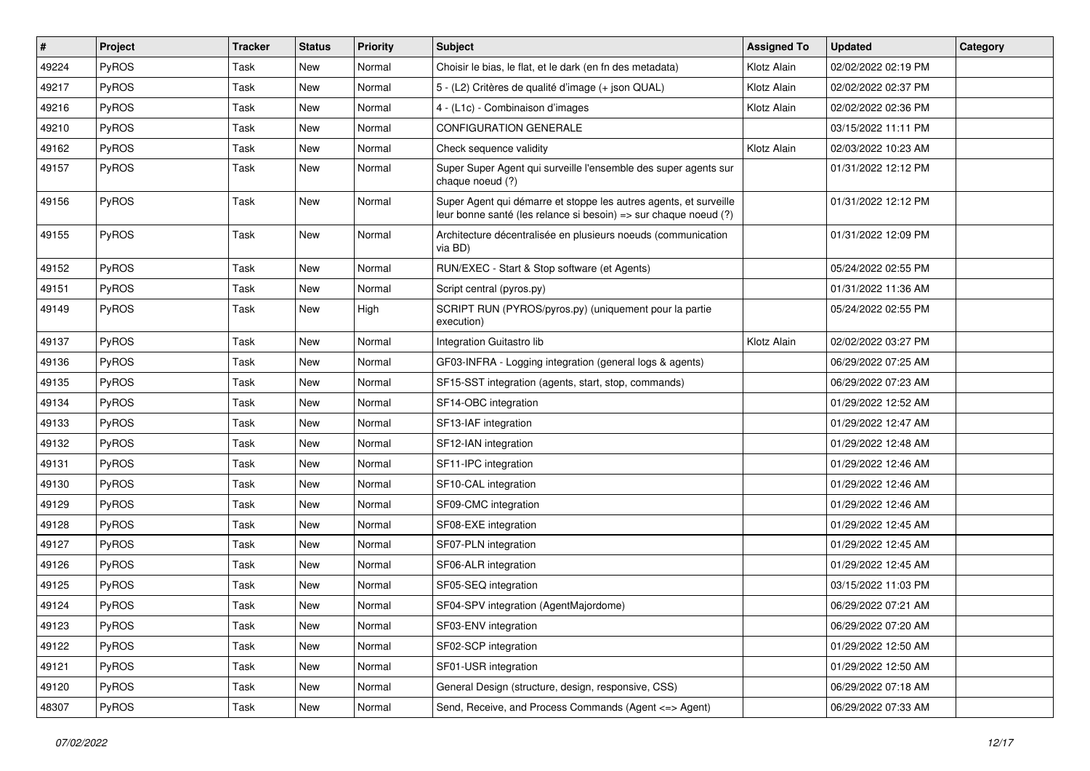| $\#$  | Project | Tracker | <b>Status</b> | <b>Priority</b> | <b>Subject</b>                                                                                                                        | <b>Assigned To</b> | <b>Updated</b>      | Category |
|-------|---------|---------|---------------|-----------------|---------------------------------------------------------------------------------------------------------------------------------------|--------------------|---------------------|----------|
| 49224 | PyROS   | Task    | <b>New</b>    | Normal          | Choisir le bias, le flat, et le dark (en fn des metadata)                                                                             | Klotz Alain        | 02/02/2022 02:19 PM |          |
| 49217 | PyROS   | Task    | <b>New</b>    | Normal          | 5 - (L2) Critères de qualité d'image (+ json QUAL)                                                                                    | Klotz Alain        | 02/02/2022 02:37 PM |          |
| 49216 | PyROS   | Task    | <b>New</b>    | Normal          | 4 - (L1c) - Combinaison d'images                                                                                                      | Klotz Alain        | 02/02/2022 02:36 PM |          |
| 49210 | PyROS   | Task    | New           | Normal          | <b>CONFIGURATION GENERALE</b>                                                                                                         |                    | 03/15/2022 11:11 PM |          |
| 49162 | PyROS   | Task    | <b>New</b>    | Normal          | Check sequence validity                                                                                                               | Klotz Alain        | 02/03/2022 10:23 AM |          |
| 49157 | PyROS   | Task    | <b>New</b>    | Normal          | Super Super Agent qui surveille l'ensemble des super agents sur<br>chaque noeud (?)                                                   |                    | 01/31/2022 12:12 PM |          |
| 49156 | PyROS   | Task    | New           | Normal          | Super Agent qui démarre et stoppe les autres agents, et surveille<br>leur bonne santé (les relance si besoin) => sur chaque noeud (?) |                    | 01/31/2022 12:12 PM |          |
| 49155 | PyROS   | Task    | New           | Normal          | Architecture décentralisée en plusieurs noeuds (communication<br>via BD)                                                              |                    | 01/31/2022 12:09 PM |          |
| 49152 | PyROS   | Task    | New           | Normal          | RUN/EXEC - Start & Stop software (et Agents)                                                                                          |                    | 05/24/2022 02:55 PM |          |
| 49151 | PyROS   | Task    | <b>New</b>    | Normal          | Script central (pyros.py)                                                                                                             |                    | 01/31/2022 11:36 AM |          |
| 49149 | PyROS   | Task    | New           | High            | SCRIPT RUN (PYROS/pyros.py) (uniquement pour la partie<br>execution)                                                                  |                    | 05/24/2022 02:55 PM |          |
| 49137 | PyROS   | Task    | New           | Normal          | Integration Guitastro lib                                                                                                             | Klotz Alain        | 02/02/2022 03:27 PM |          |
| 49136 | PyROS   | Task    | <b>New</b>    | Normal          | GF03-INFRA - Logging integration (general logs & agents)                                                                              |                    | 06/29/2022 07:25 AM |          |
| 49135 | PyROS   | Task    | <b>New</b>    | Normal          | SF15-SST integration (agents, start, stop, commands)                                                                                  |                    | 06/29/2022 07:23 AM |          |
| 49134 | PyROS   | Task    | New           | Normal          | SF14-OBC integration                                                                                                                  |                    | 01/29/2022 12:52 AM |          |
| 49133 | PyROS   | Task    | New           | Normal          | SF13-IAF integration                                                                                                                  |                    | 01/29/2022 12:47 AM |          |
| 49132 | PyROS   | Task    | <b>New</b>    | Normal          | SF12-IAN integration                                                                                                                  |                    | 01/29/2022 12:48 AM |          |
| 49131 | PyROS   | Task    | <b>New</b>    | Normal          | SF11-IPC integration                                                                                                                  |                    | 01/29/2022 12:46 AM |          |
| 49130 | PyROS   | Task    | <b>New</b>    | Normal          | SF10-CAL integration                                                                                                                  |                    | 01/29/2022 12:46 AM |          |
| 49129 | PyROS   | Task    | New           | Normal          | SF09-CMC integration                                                                                                                  |                    | 01/29/2022 12:46 AM |          |
| 49128 | PyROS   | Task    | <b>New</b>    | Normal          | SF08-EXE integration                                                                                                                  |                    | 01/29/2022 12:45 AM |          |
| 49127 | PyROS   | Task    | <b>New</b>    | Normal          | SF07-PLN integration                                                                                                                  |                    | 01/29/2022 12:45 AM |          |
| 49126 | PyROS   | Task    | New           | Normal          | SF06-ALR integration                                                                                                                  |                    | 01/29/2022 12:45 AM |          |
| 49125 | PyROS   | Task    | <b>New</b>    | Normal          | SF05-SEQ integration                                                                                                                  |                    | 03/15/2022 11:03 PM |          |
| 49124 | PyROS   | Task    | New           | Normal          | SF04-SPV integration (AgentMajordome)                                                                                                 |                    | 06/29/2022 07:21 AM |          |
| 49123 | PyROS   | Task    | New           | Normal          | SF03-ENV integration                                                                                                                  |                    | 06/29/2022 07:20 AM |          |
| 49122 | PyROS   | Task    | New           | Normal          | SF02-SCP integration                                                                                                                  |                    | 01/29/2022 12:50 AM |          |
| 49121 | PyROS   | Task    | New           | Normal          | SF01-USR integration                                                                                                                  |                    | 01/29/2022 12:50 AM |          |
| 49120 | PyROS   | Task    | New           | Normal          | General Design (structure, design, responsive, CSS)                                                                                   |                    | 06/29/2022 07:18 AM |          |
| 48307 | PyROS   | Task    | New           | Normal          | Send, Receive, and Process Commands (Agent <= > Agent)                                                                                |                    | 06/29/2022 07:33 AM |          |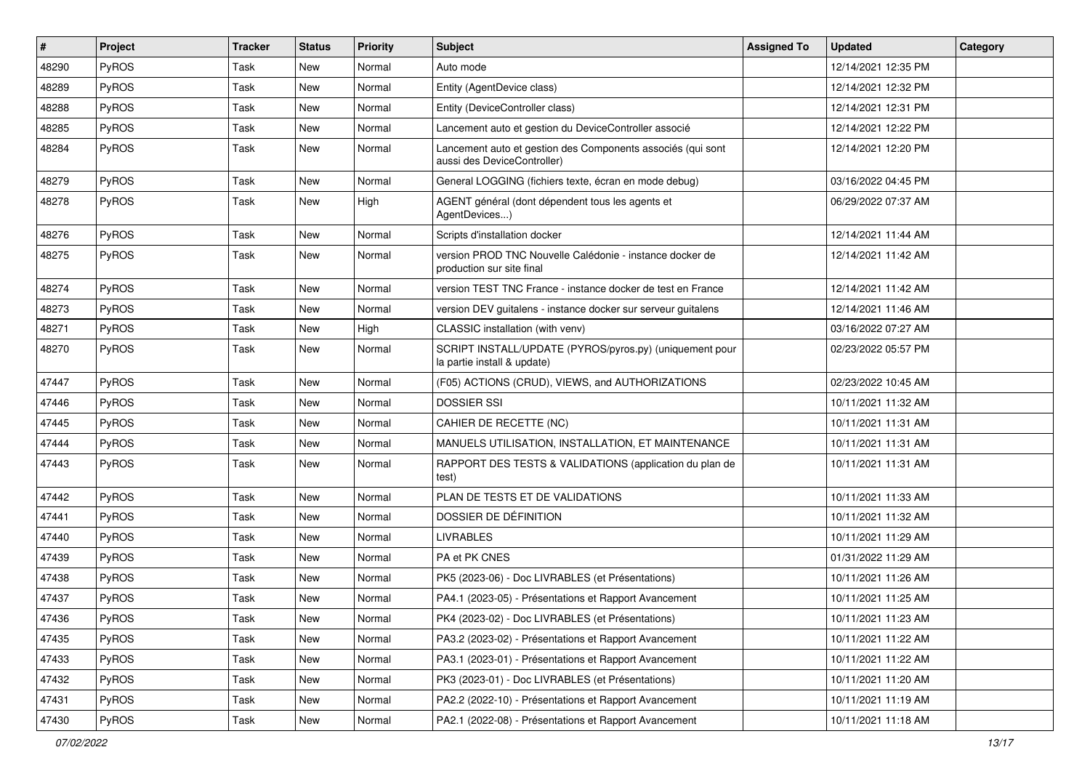| $\vert$ # | Project | <b>Tracker</b> | <b>Status</b> | <b>Priority</b> | <b>Subject</b>                                                                             | <b>Assigned To</b> | <b>Updated</b>      | Category |
|-----------|---------|----------------|---------------|-----------------|--------------------------------------------------------------------------------------------|--------------------|---------------------|----------|
| 48290     | PyROS   | Task           | New           | Normal          | Auto mode                                                                                  |                    | 12/14/2021 12:35 PM |          |
| 48289     | PyROS   | Task           | New           | Normal          | Entity (AgentDevice class)                                                                 |                    | 12/14/2021 12:32 PM |          |
| 48288     | PyROS   | Task           | New           | Normal          | Entity (DeviceController class)                                                            |                    | 12/14/2021 12:31 PM |          |
| 48285     | PyROS   | Task           | New           | Normal          | Lancement auto et gestion du DeviceController associé                                      |                    | 12/14/2021 12:22 PM |          |
| 48284     | PyROS   | Task           | New           | Normal          | Lancement auto et gestion des Components associés (qui sont<br>aussi des DeviceController) |                    | 12/14/2021 12:20 PM |          |
| 48279     | PyROS   | Task           | New           | Normal          | General LOGGING (fichiers texte, écran en mode debug)                                      |                    | 03/16/2022 04:45 PM |          |
| 48278     | PyROS   | Task           | New           | High            | AGENT général (dont dépendent tous les agents et<br>AgentDevices)                          |                    | 06/29/2022 07:37 AM |          |
| 48276     | PyROS   | Task           | New           | Normal          | Scripts d'installation docker                                                              |                    | 12/14/2021 11:44 AM |          |
| 48275     | PyROS   | Task           | New           | Normal          | version PROD TNC Nouvelle Calédonie - instance docker de<br>production sur site final      |                    | 12/14/2021 11:42 AM |          |
| 48274     | PyROS   | Task           | New           | Normal          | version TEST TNC France - instance docker de test en France                                |                    | 12/14/2021 11:42 AM |          |
| 48273     | PyROS   | Task           | <b>New</b>    | Normal          | version DEV guitalens - instance docker sur serveur guitalens                              |                    | 12/14/2021 11:46 AM |          |
| 48271     | PyROS   | Task           | New           | High            | CLASSIC installation (with venv)                                                           |                    | 03/16/2022 07:27 AM |          |
| 48270     | PyROS   | Task           | New           | Normal          | SCRIPT INSTALL/UPDATE (PYROS/pyros.py) (uniquement pour<br>la partie install & update)     |                    | 02/23/2022 05:57 PM |          |
| 47447     | PyROS   | Task           | New           | Normal          | (F05) ACTIONS (CRUD), VIEWS, and AUTHORIZATIONS                                            |                    | 02/23/2022 10:45 AM |          |
| 47446     | PyROS   | Task           | New           | Normal          | <b>DOSSIER SSI</b>                                                                         |                    | 10/11/2021 11:32 AM |          |
| 47445     | PyROS   | Task           | <b>New</b>    | Normal          | CAHIER DE RECETTE (NC)                                                                     |                    | 10/11/2021 11:31 AM |          |
| 47444     | PyROS   | Task           | <b>New</b>    | Normal          | MANUELS UTILISATION, INSTALLATION, ET MAINTENANCE                                          |                    | 10/11/2021 11:31 AM |          |
| 47443     | PyROS   | Task           | New           | Normal          | RAPPORT DES TESTS & VALIDATIONS (application du plan de<br>test)                           |                    | 10/11/2021 11:31 AM |          |
| 47442     | PyROS   | Task           | <b>New</b>    | Normal          | PLAN DE TESTS ET DE VALIDATIONS                                                            |                    | 10/11/2021 11:33 AM |          |
| 47441     | PyROS   | Task           | <b>New</b>    | Normal          | DOSSIER DE DÉFINITION                                                                      |                    | 10/11/2021 11:32 AM |          |
| 47440     | PyROS   | Task           | <b>New</b>    | Normal          | <b>LIVRABLES</b>                                                                           |                    | 10/11/2021 11:29 AM |          |
| 47439     | PyROS   | Task           | New           | Normal          | PA et PK CNES                                                                              |                    | 01/31/2022 11:29 AM |          |
| 47438     | PyROS   | Task           | New           | Normal          | PK5 (2023-06) - Doc LIVRABLES (et Présentations)                                           |                    | 10/11/2021 11:26 AM |          |
| 47437     | PyROS   | Task           | <b>New</b>    | Normal          | PA4.1 (2023-05) - Présentations et Rapport Avancement                                      |                    | 10/11/2021 11:25 AM |          |
| 47436     | PyROS   | Task           | New           | Normal          | PK4 (2023-02) - Doc LIVRABLES (et Présentations)                                           |                    | 10/11/2021 11:23 AM |          |
| 47435     | PyROS   | Task           | New           | Normal          | PA3.2 (2023-02) - Présentations et Rapport Avancement                                      |                    | 10/11/2021 11:22 AM |          |
| 47433     | PyROS   | Task           | New           | Normal          | PA3.1 (2023-01) - Présentations et Rapport Avancement                                      |                    | 10/11/2021 11:22 AM |          |
| 47432     | PyROS   | Task           | New           | Normal          | PK3 (2023-01) - Doc LIVRABLES (et Présentations)                                           |                    | 10/11/2021 11:20 AM |          |
| 47431     | PyROS   | Task           | New           | Normal          | PA2.2 (2022-10) - Présentations et Rapport Avancement                                      |                    | 10/11/2021 11:19 AM |          |
| 47430     | PyROS   | Task           | New           | Normal          | PA2.1 (2022-08) - Présentations et Rapport Avancement                                      |                    | 10/11/2021 11:18 AM |          |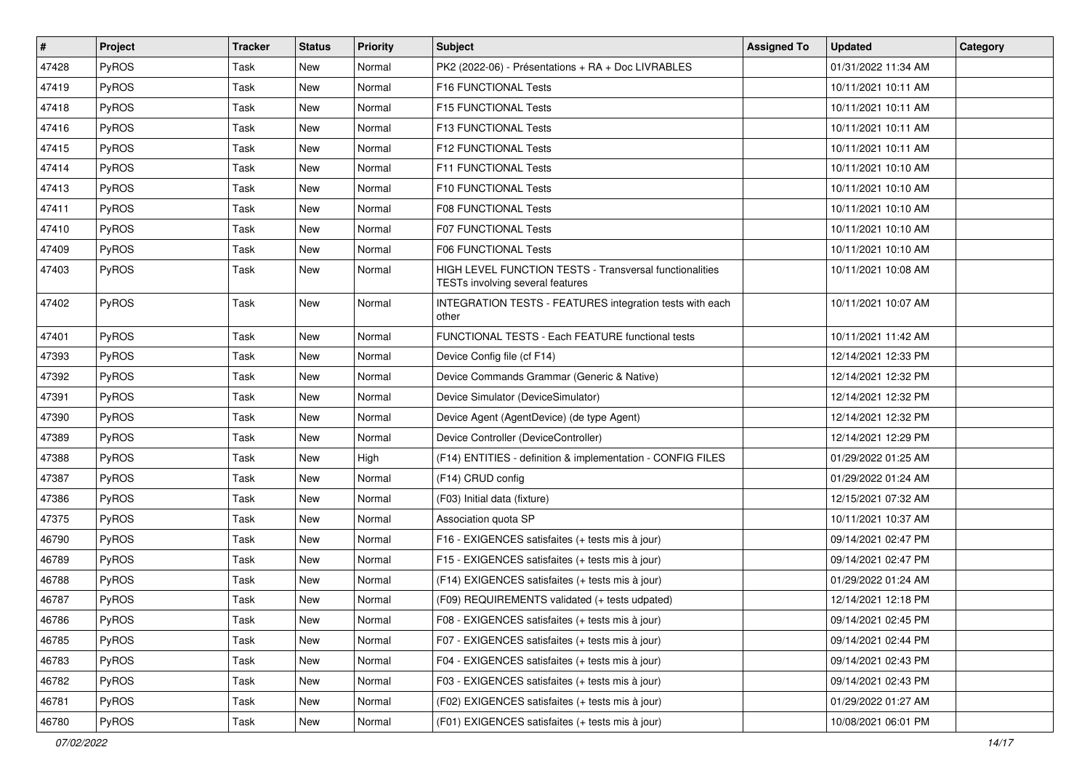| $\vert$ # | Project      | <b>Tracker</b> | <b>Status</b> | <b>Priority</b> | Subject                                                                                     | <b>Assigned To</b> | <b>Updated</b>      | Category |
|-----------|--------------|----------------|---------------|-----------------|---------------------------------------------------------------------------------------------|--------------------|---------------------|----------|
| 47428     | <b>PyROS</b> | Task           | New           | Normal          | PK2 (2022-06) - Présentations + RA + Doc LIVRABLES                                          |                    | 01/31/2022 11:34 AM |          |
| 47419     | PyROS        | Task           | New           | Normal          | F16 FUNCTIONAL Tests                                                                        |                    | 10/11/2021 10:11 AM |          |
| 47418     | PyROS        | Task           | New           | Normal          | F15 FUNCTIONAL Tests                                                                        |                    | 10/11/2021 10:11 AM |          |
| 47416     | PyROS        | Task           | <b>New</b>    | Normal          | F13 FUNCTIONAL Tests                                                                        |                    | 10/11/2021 10:11 AM |          |
| 47415     | PyROS        | Task           | <b>New</b>    | Normal          | F12 FUNCTIONAL Tests                                                                        |                    | 10/11/2021 10:11 AM |          |
| 47414     | PyROS        | Task           | New           | Normal          | F11 FUNCTIONAL Tests                                                                        |                    | 10/11/2021 10:10 AM |          |
| 47413     | PyROS        | Task           | New           | Normal          | F10 FUNCTIONAL Tests                                                                        |                    | 10/11/2021 10:10 AM |          |
| 47411     | PyROS        | Task           | New           | Normal          | <b>F08 FUNCTIONAL Tests</b>                                                                 |                    | 10/11/2021 10:10 AM |          |
| 47410     | PyROS        | Task           | New           | Normal          | F07 FUNCTIONAL Tests                                                                        |                    | 10/11/2021 10:10 AM |          |
| 47409     | PyROS        | Task           | New           | Normal          | F06 FUNCTIONAL Tests                                                                        |                    | 10/11/2021 10:10 AM |          |
| 47403     | <b>PyROS</b> | Task           | New           | Normal          | HIGH LEVEL FUNCTION TESTS - Transversal functionalities<br>TESTs involving several features |                    | 10/11/2021 10:08 AM |          |
| 47402     | PyROS        | Task           | New           | Normal          | INTEGRATION TESTS - FEATURES integration tests with each<br>other                           |                    | 10/11/2021 10:07 AM |          |
| 47401     | PyROS        | Task           | New           | Normal          | FUNCTIONAL TESTS - Each FEATURE functional tests                                            |                    | 10/11/2021 11:42 AM |          |
| 47393     | <b>PyROS</b> | Task           | New           | Normal          | Device Config file (cf F14)                                                                 |                    | 12/14/2021 12:33 PM |          |
| 47392     | PyROS        | Task           | New           | Normal          | Device Commands Grammar (Generic & Native)                                                  |                    | 12/14/2021 12:32 PM |          |
| 47391     | PyROS        | Task           | New           | Normal          | Device Simulator (DeviceSimulator)                                                          |                    | 12/14/2021 12:32 PM |          |
| 47390     | PyROS        | Task           | New           | Normal          | Device Agent (AgentDevice) (de type Agent)                                                  |                    | 12/14/2021 12:32 PM |          |
| 47389     | PyROS        | Task           | New           | Normal          | Device Controller (DeviceController)                                                        |                    | 12/14/2021 12:29 PM |          |
| 47388     | PyROS        | Task           | New           | High            | (F14) ENTITIES - definition & implementation - CONFIG FILES                                 |                    | 01/29/2022 01:25 AM |          |
| 47387     | PyROS        | Task           | New           | Normal          | (F14) CRUD config                                                                           |                    | 01/29/2022 01:24 AM |          |
| 47386     | PyROS        | Task           | <b>New</b>    | Normal          | (F03) Initial data (fixture)                                                                |                    | 12/15/2021 07:32 AM |          |
| 47375     | PyROS        | Task           | New           | Normal          | Association quota SP                                                                        |                    | 10/11/2021 10:37 AM |          |
| 46790     | PyROS        | Task           | <b>New</b>    | Normal          | F16 - EXIGENCES satisfaites (+ tests mis à jour)                                            |                    | 09/14/2021 02:47 PM |          |
| 46789     | PyROS        | Task           | New           | Normal          | F15 - EXIGENCES satisfaites (+ tests mis à jour)                                            |                    | 09/14/2021 02:47 PM |          |
| 46788     | PyROS        | Task           | New           | Normal          | (F14) EXIGENCES satisfaites (+ tests mis à jour)                                            |                    | 01/29/2022 01:24 AM |          |
| 46787     | PyROS        | Task           | New           | Normal          | (F09) REQUIREMENTS validated (+ tests udpated)                                              |                    | 12/14/2021 12:18 PM |          |
| 46786     | PyROS        | Task           | New           | Normal          | F08 - EXIGENCES satisfaites (+ tests mis à jour)                                            |                    | 09/14/2021 02:45 PM |          |
| 46785     | PyROS        | Task           | New           | Normal          | F07 - EXIGENCES satisfaites (+ tests mis à jour)                                            |                    | 09/14/2021 02:44 PM |          |
| 46783     | PyROS        | Task           | New           | Normal          | F04 - EXIGENCES satisfaites (+ tests mis à jour)                                            |                    | 09/14/2021 02:43 PM |          |
| 46782     | <b>PyROS</b> | Task           | New           | Normal          | F03 - EXIGENCES satisfaites (+ tests mis à jour)                                            |                    | 09/14/2021 02:43 PM |          |
| 46781     | PyROS        | Task           | New           | Normal          | (F02) EXIGENCES satisfaites (+ tests mis à jour)                                            |                    | 01/29/2022 01:27 AM |          |
| 46780     | PyROS        | Task           | New           | Normal          | (F01) EXIGENCES satisfaites (+ tests mis à jour)                                            |                    | 10/08/2021 06:01 PM |          |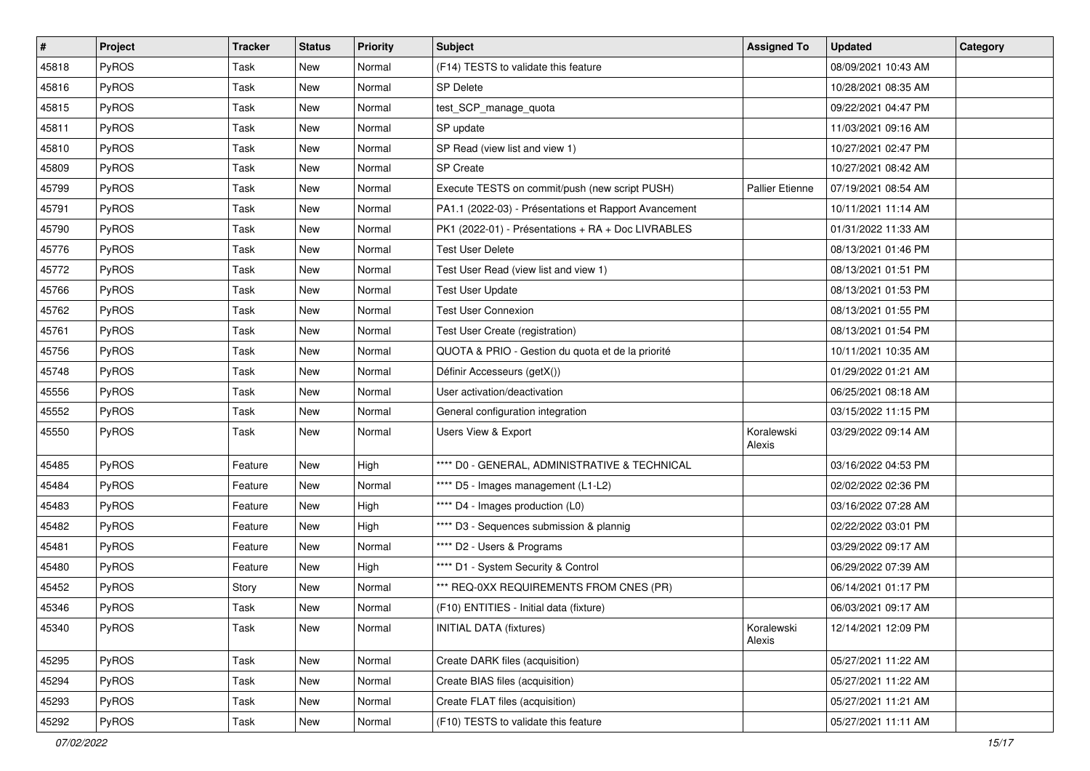| #     | Project      | <b>Tracker</b> | <b>Status</b> | <b>Priority</b> | <b>Subject</b>                                        | <b>Assigned To</b>     | <b>Updated</b>      | Category |
|-------|--------------|----------------|---------------|-----------------|-------------------------------------------------------|------------------------|---------------------|----------|
| 45818 | PyROS        | Task           | New           | Normal          | (F14) TESTS to validate this feature                  |                        | 08/09/2021 10:43 AM |          |
| 45816 | PyROS        | Task           | New           | Normal          | SP Delete                                             |                        | 10/28/2021 08:35 AM |          |
| 45815 | <b>PyROS</b> | Task           | New           | Normal          | test_SCP_manage_quota                                 |                        | 09/22/2021 04:47 PM |          |
| 45811 | PyROS        | Task           | New           | Normal          | SP update                                             |                        | 11/03/2021 09:16 AM |          |
| 45810 | PyROS        | Task           | New           | Normal          | SP Read (view list and view 1)                        |                        | 10/27/2021 02:47 PM |          |
| 45809 | PyROS        | Task           | New           | Normal          | <b>SP</b> Create                                      |                        | 10/27/2021 08:42 AM |          |
| 45799 | PyROS        | Task           | New           | Normal          | Execute TESTS on commit/push (new script PUSH)        | <b>Pallier Etienne</b> | 07/19/2021 08:54 AM |          |
| 45791 | PyROS        | Task           | New           | Normal          | PA1.1 (2022-03) - Présentations et Rapport Avancement |                        | 10/11/2021 11:14 AM |          |
| 45790 | PyROS        | Task           | New           | Normal          | PK1 (2022-01) - Présentations + RA + Doc LIVRABLES    |                        | 01/31/2022 11:33 AM |          |
| 45776 | PyROS        | Task           | <b>New</b>    | Normal          | <b>Test User Delete</b>                               |                        | 08/13/2021 01:46 PM |          |
| 45772 | PyROS        | Task           | New           | Normal          | Test User Read (view list and view 1)                 |                        | 08/13/2021 01:51 PM |          |
| 45766 | PyROS        | Task           | New           | Normal          | <b>Test User Update</b>                               |                        | 08/13/2021 01:53 PM |          |
| 45762 | PyROS        | Task           | New           | Normal          | <b>Test User Connexion</b>                            |                        | 08/13/2021 01:55 PM |          |
| 45761 | PyROS        | Task           | New           | Normal          | Test User Create (registration)                       |                        | 08/13/2021 01:54 PM |          |
| 45756 | PyROS        | Task           | <b>New</b>    | Normal          | QUOTA & PRIO - Gestion du quota et de la priorité     |                        | 10/11/2021 10:35 AM |          |
| 45748 | PyROS        | Task           | New           | Normal          | Définir Accesseurs (getX())                           |                        | 01/29/2022 01:21 AM |          |
| 45556 | PyROS        | Task           | New           | Normal          | User activation/deactivation                          |                        | 06/25/2021 08:18 AM |          |
| 45552 | PyROS        | Task           | New           | Normal          | General configuration integration                     |                        | 03/15/2022 11:15 PM |          |
| 45550 | PyROS        | Task           | New           | Normal          | Users View & Export                                   | Koralewski<br>Alexis   | 03/29/2022 09:14 AM |          |
| 45485 | PyROS        | Feature        | New           | High            | **** D0 - GENERAL, ADMINISTRATIVE & TECHNICAL         |                        | 03/16/2022 04:53 PM |          |
| 45484 | PyROS        | Feature        | New           | Normal          | **** D5 - Images management (L1-L2)                   |                        | 02/02/2022 02:36 PM |          |
| 45483 | PyROS        | Feature        | New           | High            | **** D4 - Images production (L0)                      |                        | 03/16/2022 07:28 AM |          |
| 45482 | PyROS        | Feature        | New           | High            | **** D3 - Sequences submission & plannig              |                        | 02/22/2022 03:01 PM |          |
| 45481 | PyROS        | Feature        | New           | Normal          | **** D2 - Users & Programs                            |                        | 03/29/2022 09:17 AM |          |
| 45480 | PyROS        | Feature        | New           | High            | **** D1 - System Security & Control                   |                        | 06/29/2022 07:39 AM |          |
| 45452 | PyROS        | Story          | New           | Normal          | *** REQ-0XX REQUIREMENTS FROM CNES (PR)               |                        | 06/14/2021 01:17 PM |          |
| 45346 | PyROS        | Task           | <b>New</b>    | Normal          | (F10) ENTITIES - Initial data (fixture)               |                        | 06/03/2021 09:17 AM |          |
| 45340 | PyROS        | Task           | New           | Normal          | <b>INITIAL DATA (fixtures)</b>                        | Koralewski<br>Alexis   | 12/14/2021 12:09 PM |          |
| 45295 | PyROS        | Task           | New           | Normal          | Create DARK files (acquisition)                       |                        | 05/27/2021 11:22 AM |          |
| 45294 | PyROS        | Task           | New           | Normal          | Create BIAS files (acquisition)                       |                        | 05/27/2021 11:22 AM |          |
| 45293 | PyROS        | Task           | New           | Normal          | Create FLAT files (acquisition)                       |                        | 05/27/2021 11:21 AM |          |
| 45292 | PyROS        | Task           | New           | Normal          | (F10) TESTS to validate this feature                  |                        | 05/27/2021 11:11 AM |          |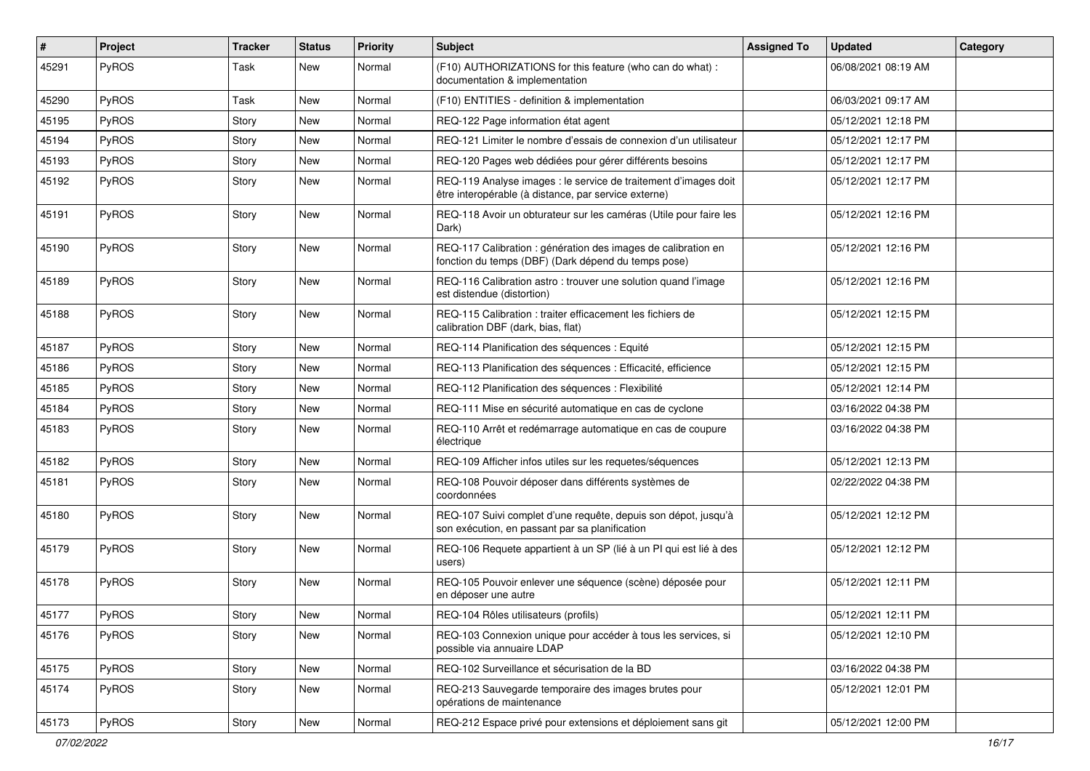| #     | Project | <b>Tracker</b> | <b>Status</b> | <b>Priority</b> | <b>Subject</b>                                                                                                          | <b>Assigned To</b> | <b>Updated</b>      | Category |
|-------|---------|----------------|---------------|-----------------|-------------------------------------------------------------------------------------------------------------------------|--------------------|---------------------|----------|
| 45291 | PyROS   | Task           | <b>New</b>    | Normal          | (F10) AUTHORIZATIONS for this feature (who can do what) :<br>documentation & implementation                             |                    | 06/08/2021 08:19 AM |          |
| 45290 | PyROS   | Task           | <b>New</b>    | Normal          | (F10) ENTITIES - definition & implementation                                                                            |                    | 06/03/2021 09:17 AM |          |
| 45195 | PyROS   | Story          | New           | Normal          | REQ-122 Page information état agent                                                                                     |                    | 05/12/2021 12:18 PM |          |
| 45194 | PyROS   | Story          | <b>New</b>    | Normal          | REQ-121 Limiter le nombre d'essais de connexion d'un utilisateur                                                        |                    | 05/12/2021 12:17 PM |          |
| 45193 | PyROS   | Story          | <b>New</b>    | Normal          | REQ-120 Pages web dédiées pour gérer différents besoins                                                                 |                    | 05/12/2021 12:17 PM |          |
| 45192 | PyROS   | Story          | New           | Normal          | REQ-119 Analyse images : le service de traitement d'images doit<br>être interopérable (à distance, par service externe) |                    | 05/12/2021 12:17 PM |          |
| 45191 | PyROS   | Story          | <b>New</b>    | Normal          | REQ-118 Avoir un obturateur sur les caméras (Utile pour faire les<br>Dark)                                              |                    | 05/12/2021 12:16 PM |          |
| 45190 | PyROS   | Story          | New           | Normal          | REQ-117 Calibration : génération des images de calibration en<br>fonction du temps (DBF) (Dark dépend du temps pose)    |                    | 05/12/2021 12:16 PM |          |
| 45189 | PyROS   | Story          | New           | Normal          | REQ-116 Calibration astro : trouver une solution quand l'image<br>est distendue (distortion)                            |                    | 05/12/2021 12:16 PM |          |
| 45188 | PyROS   | Story          | New           | Normal          | REQ-115 Calibration : traiter efficacement les fichiers de<br>calibration DBF (dark, bias, flat)                        |                    | 05/12/2021 12:15 PM |          |
| 45187 | PyROS   | Story          | New           | Normal          | REQ-114 Planification des séquences : Equité                                                                            |                    | 05/12/2021 12:15 PM |          |
| 45186 | PyROS   | Story          | <b>New</b>    | Normal          | REQ-113 Planification des séquences : Efficacité, efficience                                                            |                    | 05/12/2021 12:15 PM |          |
| 45185 | PyROS   | Story          | New           | Normal          | REQ-112 Planification des séquences : Flexibilité                                                                       |                    | 05/12/2021 12:14 PM |          |
| 45184 | PyROS   | Story          | New           | Normal          | REQ-111 Mise en sécurité automatique en cas de cyclone                                                                  |                    | 03/16/2022 04:38 PM |          |
| 45183 | PyROS   | Story          | <b>New</b>    | Normal          | REQ-110 Arrêt et redémarrage automatique en cas de coupure<br>électrique                                                |                    | 03/16/2022 04:38 PM |          |
| 45182 | PyROS   | Story          | New           | Normal          | REQ-109 Afficher infos utiles sur les requetes/séquences                                                                |                    | 05/12/2021 12:13 PM |          |
| 45181 | PyROS   | Story          | New           | Normal          | REQ-108 Pouvoir déposer dans différents systèmes de<br>coordonnées                                                      |                    | 02/22/2022 04:38 PM |          |
| 45180 | PyROS   | Story          | New           | Normal          | REQ-107 Suivi complet d'une requête, depuis son dépot, jusqu'à<br>son exécution, en passant par sa planification        |                    | 05/12/2021 12:12 PM |          |
| 45179 | PyROS   | Story          | <b>New</b>    | Normal          | REQ-106 Requete appartient à un SP (lié à un PI qui est lié à des<br>users)                                             |                    | 05/12/2021 12:12 PM |          |
| 45178 | PyROS   | Story          | New           | Normal          | REQ-105 Pouvoir enlever une séquence (scène) déposée pour<br>en déposer une autre                                       |                    | 05/12/2021 12:11 PM |          |
| 45177 | PyROS   | Story          | New           | Normal          | REQ-104 Rôles utilisateurs (profils)                                                                                    |                    | 05/12/2021 12:11 PM |          |
| 45176 | PyROS   | Story          | New           | Normal          | REQ-103 Connexion unique pour accéder à tous les services, si<br>possible via annuaire LDAP                             |                    | 05/12/2021 12:10 PM |          |
| 45175 | PyROS   | Story          | New           | Normal          | REQ-102 Surveillance et sécurisation de la BD                                                                           |                    | 03/16/2022 04:38 PM |          |
| 45174 | PyROS   | Story          | New           | Normal          | REQ-213 Sauvegarde temporaire des images brutes pour<br>opérations de maintenance                                       |                    | 05/12/2021 12:01 PM |          |
| 45173 | PyROS   | Story          | New           | Normal          | REQ-212 Espace privé pour extensions et déploiement sans git                                                            |                    | 05/12/2021 12:00 PM |          |